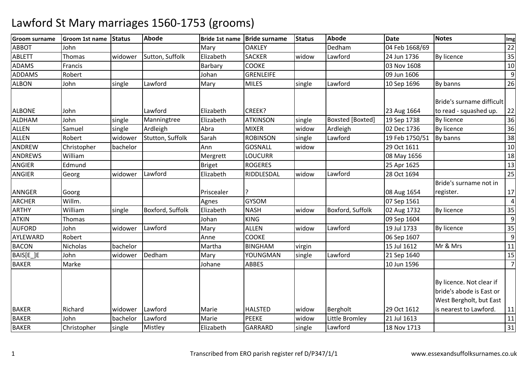| <b>Groom surname</b> | Groom 1st name | <b>Status</b> | <b>Abode</b>     | <b>Bride 1st name</b> | <b>Bride surname</b> | <b>Status</b> | Abode                   | <b>Date</b>    | <b>Notes</b>                                                                    | Img            |
|----------------------|----------------|---------------|------------------|-----------------------|----------------------|---------------|-------------------------|----------------|---------------------------------------------------------------------------------|----------------|
| <b>ABBOT</b>         | John           |               |                  | Mary                  | <b>OAKLEY</b>        |               | Dedham                  | 04 Feb 1668/69 |                                                                                 | 22             |
| <b>ABLETT</b>        | Thomas         | widower       | Sutton, Suffolk  | Elizabeth             | <b>SACKER</b>        | widow         | Lawford                 | 24 Jun 1736    | By licence                                                                      | 35             |
| <b>ADAMS</b>         | Francis        |               |                  | Barbary               | <b>COOKE</b>         |               |                         | 03 Nov 1608    |                                                                                 | 10             |
| <b>ADDAMS</b>        | Robert         |               |                  | Johan                 | <b>GRENLEIFE</b>     |               |                         | 09 Jun 1606    |                                                                                 | 9              |
| <b>ALBON</b>         | John           | single        | Lawford          | Mary                  | <b>MILES</b>         | single        | Lawford                 | 10 Sep 1696    | By banns                                                                        | 26             |
|                      |                |               |                  |                       |                      |               |                         |                | Bride's surname difficult                                                       |                |
| <b>ALBONE</b>        | John           |               | Lawford          | Elizabeth             | CREEK?               |               |                         | 23 Aug 1664    | to read - squashed up.                                                          | 22             |
| <b>ALDHAM</b>        | John           | single        | Manningtree      | Elizabeth             | <b>ATKINSON</b>      | single        | <b>Boxsted</b> [Boxted] | 19 Sep 1738    | By licence                                                                      | 36             |
| <b>ALLEN</b>         | Samuel         | single        | Ardleigh         | Abra                  | <b>MIXER</b>         | widow         | Ardleigh                | 02 Dec 1736    | By licence                                                                      | 36             |
| <b>ALLEN</b>         | Robert         | widower       | Stutton, Suffolk | Sarah                 | <b>ROBINSON</b>      | single        | Lawford                 | 19 Feb 1750/51 | By banns                                                                        | 38             |
| ANDREW               | Christopher    | bachelor      |                  | Ann                   | <b>GOSNALL</b>       | widow         |                         | 29 Oct 1611    |                                                                                 | 10             |
| <b>ANDREWS</b>       | William        |               |                  | Mergrett              | <b>LOUCURR</b>       |               |                         | 08 May 1656    |                                                                                 | 18             |
| <b>ANGIER</b>        | Edmund         |               |                  | Briget                | <b>ROGERES</b>       |               |                         | 25 Apr 1625    |                                                                                 | 13             |
| <b>ANGIER</b>        | Georg          | widower       | Lawford          | Elizabeth             | RIDDLESDAL           | widow         | Lawford                 | 28 Oct 1694    |                                                                                 | 25             |
|                      |                |               |                  |                       |                      |               |                         |                | Bride's surname not in                                                          |                |
| <b>ANNGER</b>        | Goorg          |               |                  | Priscealer            |                      |               |                         | 08 Aug 1654    | register.                                                                       | 17             |
| <b>ARCHER</b>        | Willm.         |               |                  | Agnes                 | <b>GYSOM</b>         |               |                         | 07 Sep 1561    |                                                                                 | $\vert$        |
| <b>ARTHY</b>         | William        | single        | Boxford, Suffolk | Elizabeth             | <b>NASH</b>          | widow         | Boxford, Suffolk        | 02 Aug 1732    | By licence                                                                      | 35             |
| <b>ATKIN</b>         | Thomas         |               |                  | Johan                 | <b>KING</b>          |               |                         | 09 Sep 1604    |                                                                                 | 9              |
| <b>AUFORD</b>        | John           | widower       | Lawford          | Mary                  | <b>ALLEN</b>         | widow         | Lawford                 | 19 Jul 1733    | By licence                                                                      | 35             |
| AYLEWARD             | Robert         |               |                  | Anne                  | <b>COOKE</b>         |               |                         | 06 Sep 1607    |                                                                                 | $\overline{9}$ |
| <b>BACON</b>         | Nicholas       | bachelor      |                  | Martha                | <b>BINGHAM</b>       | virgin        |                         | 15 Jul 1612    | Mr & Mrs                                                                        | 11             |
| BAIS[E_]E            | John           | widower       | Dedham           | Mary                  | YOUNGMAN             | single        | Lawford                 | 21 Sep 1640    |                                                                                 | 15             |
| <b>BAKER</b>         | Marke          |               |                  | Johane                | <b>ABBES</b>         |               |                         | 10 Jun 1596    |                                                                                 | $\overline{7}$ |
|                      |                |               |                  |                       |                      |               |                         |                | By licence. Not clear if<br>bride's abode is East or<br>West Bergholt, but East |                |
| <b>BAKER</b>         | Richard        | widower       | Lawford          | Marie                 | <b>HALSTED</b>       | widow         | Bergholt                | 29 Oct 1612    | is nearest to Lawford.                                                          | 11             |
| <b>BAKER</b>         | John           | bachelor      | Lawford          | Marie                 | <b>PEEKE</b>         | widow         | Little Bromley          | 21 Jul 1613    |                                                                                 | 11             |
| <b>BAKER</b>         | Christopher    | single        | Mistley          | Elizabeth             | <b>GARRARD</b>       | single        | Lawford                 | 18 Nov 1713    |                                                                                 | 31             |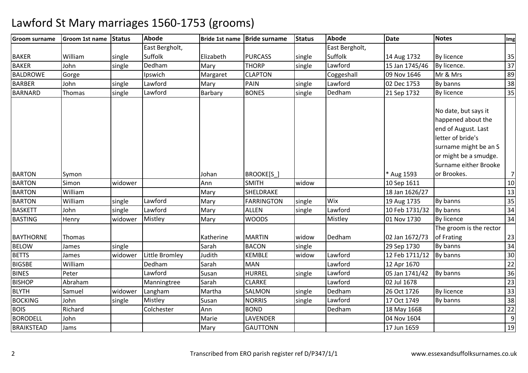| <b>Groom surname</b> | <b>Groom 1st name</b> | <b>Status</b> | <b>Abode</b>   | <b>Bride 1st name</b> | <b>Bride surname</b> | <b>Status</b> | Abode          | <b>Date</b>    | <b>Notes</b>            | Img             |
|----------------------|-----------------------|---------------|----------------|-----------------------|----------------------|---------------|----------------|----------------|-------------------------|-----------------|
|                      |                       |               | East Bergholt, |                       |                      |               | East Bergholt, |                |                         |                 |
| <b>BAKER</b>         | William               | single        | Suffolk        | Elizabeth             | <b>PURCASS</b>       | single        | Suffolk        | 14 Aug 1732    | By licence              | 35              |
| <b>BAKER</b>         | John                  | single        | Dedham         | Mary                  | <b>THORP</b>         | single        | Lawford        | 15 Jan 1745/46 | By licence.             | $\overline{37}$ |
| <b>BALDROWE</b>      | Gorge                 |               | Ipswich        | Margaret              | <b>CLAPTON</b>       |               | Coggeshall     | 09 Nov 1646    | Mr & Mrs                | 89              |
| <b>BARBER</b>        | John                  | single        | Lawford        | Mary                  | <b>PAIN</b>          | single        | Lawford        | 02 Dec 1753    | By banns                | 38              |
| <b>BARNARD</b>       | Thomas                | single        | Lawford        | Barbary               | <b>BONES</b>         | single        | Dedham         | 21 Sep 1732    | By licence              | 35              |
|                      |                       |               |                |                       |                      |               |                |                |                         |                 |
|                      |                       |               |                |                       |                      |               |                |                | No date, but says it    |                 |
|                      |                       |               |                |                       |                      |               |                |                | happened about the      |                 |
|                      |                       |               |                |                       |                      |               |                |                | end of August. Last     |                 |
|                      |                       |               |                |                       |                      |               |                |                | letter of bride's       |                 |
|                      |                       |               |                |                       |                      |               |                |                | surname might be an S   |                 |
|                      |                       |               |                |                       |                      |               |                |                | or might be a smudge.   |                 |
|                      |                       |               |                |                       |                      |               |                |                | Surname either Brooke   |                 |
| <b>BARTON</b>        | Symon                 |               |                | Johan                 | BROOKE[S]            |               |                | * Aug 1593     | or Brookes.             | $\overline{7}$  |
| <b>BARTON</b>        | Simon                 | widower       |                | Ann                   | <b>SMITH</b>         | widow         |                | 10 Sep 1611    |                         | 10              |
| <b>BARTON</b>        | William               |               |                | Mary                  | SHELDRAKE            |               |                | 18 Jan 1626/27 |                         | 13              |
| <b>BARTON</b>        | William               | single        | Lawford        | Mary                  | <b>FARRINGTON</b>    | single        | Wix            | 19 Aug 1735    | By banns                | 35              |
| <b>BASKETT</b>       | John                  | single        | Lawford        | Mary                  | <b>ALLEN</b>         | single        | Lawford        | 10 Feb 1731/32 | By banns                | $\overline{34}$ |
| <b>BASTING</b>       | Henry                 | widower       | Mistley        | Mary                  | <b>WOODS</b>         |               | Mistley        | 01 Nov 1730    | By licence              | 34              |
|                      |                       |               |                |                       |                      |               |                |                | The groom is the rector |                 |
| <b>BAYTHORNE</b>     | Thomas                |               |                | Katherine             | <b>MARTIN</b>        | widow         | Dedham         | 02 Jan 1672/73 | of Frating              | 23              |
| <b>BELOW</b>         | James                 | single        |                | Sarah                 | <b>BACON</b>         | single        |                | 29 Sep 1730    | By banns                | 34              |
| <b>BETTS</b>         | James                 | widower       | Little Bromley | Judith                | <b>KEMBLE</b>        | widow         | Lawford        | 12 Feb 1711/12 | By banns                | 30              |
| <b>BIGSBE</b>        | William               |               | Dedham         | Sarah                 | <b>MAN</b>           |               | Lawford        | 12 Apr 1670    |                         | $\overline{22}$ |
| <b>BINES</b>         | Peter                 |               | Lawford        | Susan                 | <b>HURREL</b>        | single        | Lawford        | 05 Jan 1741/42 | By banns                | 36              |
| <b>BISHOP</b>        | Abraham               |               | Manningtree    | Sarah                 | <b>CLARKE</b>        |               | Lawford        | 02 Jul 1678    |                         | $\overline{23}$ |
| <b>BLYTH</b>         | Samuel                | widower       | Langham        | Martha                | SALMON               | single        | Dedham         | 26 Oct 1726    | By licence              | 33              |
| <b>BOCKING</b>       | John                  | single        | Mistley        | Susan                 | <b>NORRIS</b>        | single        | Lawford        | 17 Oct 1749    | By banns                | 38              |
| <b>BOIS</b>          | Richard               |               | Colchester     | Ann                   | <b>BOND</b>          |               | Dedham         | 18 May 1668    |                         | $\overline{22}$ |
| <b>BORODELL</b>      | John                  |               |                | Marie                 | LAVENDER             |               |                | 04 Nov 1604    |                         | $\overline{9}$  |
| <b>BRAIKSTEAD</b>    | Jams                  |               |                | Mary                  | <b>GAUTTONN</b>      |               |                | 17 Jun 1659    |                         | 19              |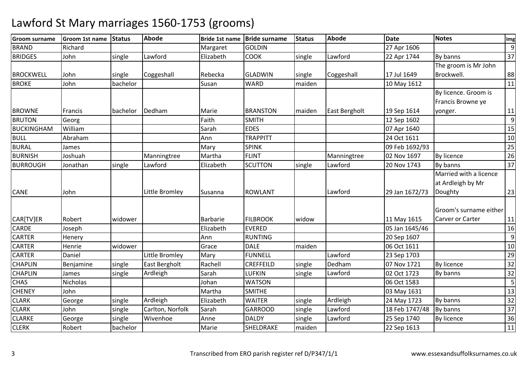| <b>Groom surname</b> | Groom 1st name | <b>Status</b> | <b>Abode</b>     | Bride 1st name | <b>Bride surname</b> | Status | <b>Abode</b>  | <b>Date</b>    | <b>Notes</b>           | Img |
|----------------------|----------------|---------------|------------------|----------------|----------------------|--------|---------------|----------------|------------------------|-----|
| <b>BRAND</b>         | Richard        |               |                  | Margaret       | <b>GOLDIN</b>        |        |               | 27 Apr 1606    |                        | 9   |
| <b>BRIDGES</b>       | John           | single        | Lawford          | Elizabeth      | <b>COOK</b>          | single | Lawford       | 22 Apr 1744    | By banns               | 37  |
|                      |                |               |                  |                |                      |        |               |                | The groom is Mr John   |     |
| <b>BROCKWELL</b>     | John           | single        | Coggeshall       | Rebecka        | <b>GLADWIN</b>       | single | Coggeshall    | 17 Jul 1649    | Brockwell.             | 88  |
| <b>BROKE</b>         | John           | bachelor      |                  | Susan          | <b>WARD</b>          | maiden |               | 10 May 1612    |                        | 11  |
|                      |                |               |                  |                |                      |        |               |                | By licence. Groom is   |     |
|                      |                |               |                  |                |                      |        |               |                | Francis Browne ye      |     |
| <b>BROWNE</b>        | Francis        | bachelor      | Dedham           | Marie          | <b>BRANSTON</b>      | maiden | East Bergholt | 19 Sep 1614    | yonger.                | 11  |
| <b>BRUTON</b>        | Georg          |               |                  | Faith          | <b>SMITH</b>         |        |               | 12 Sep 1602    |                        | 9   |
| <b>BUCKINGHAM</b>    | William        |               |                  | Sarah          | <b>EDES</b>          |        |               | 07 Apr 1640    |                        | 15  |
| <b>BULL</b>          | Abraham        |               |                  | Ann            | <b>TRAPPITT</b>      |        |               | 24 Oct 1611    |                        | 10  |
| <b>BURAL</b>         | James          |               |                  | Mary           | <b>SPINK</b>         |        |               | 09 Feb 1692/93 |                        | 25  |
| <b>BURNISH</b>       | Joshuah        |               | Manningtree      | Martha         | <b>FLINT</b>         |        | Manningtree   | 02 Nov 1697    | By licence             | 26  |
| <b>BURROUGH</b>      | Jonathan       | single        | Lawford          | Elizabeth      | <b>SCUTTON</b>       | single | Lawford       | 20 Nov 1743    | By banns               | 37  |
|                      |                |               |                  |                |                      |        |               |                | Married with a licence |     |
|                      |                |               |                  |                |                      |        |               |                | at Ardleigh by Mr      |     |
| <b>CANE</b>          | John           |               | Little Bromley   | Susanna        | <b>ROWLANT</b>       |        | Lawford       | 29 Jan 1672/73 | Doughty                | 23  |
|                      |                |               |                  |                |                      |        |               |                |                        |     |
|                      |                |               |                  |                |                      |        |               |                | Groom's surname either |     |
| CAR[TV]ER            | Robert         | widower       |                  | Barbarie       | <b>FILBROOK</b>      | widow  |               | 11 May 1615    | Carver or Carter       | 11  |
| <b>CARDE</b>         | Joseph         |               |                  | Elizabeth      | <b>EVERED</b>        |        |               | 05 Jan 1645/46 |                        | 16  |
| <b>CARTER</b>        | Henery         |               |                  | Ann            | <b>RUNTING</b>       |        |               | 20 Sep 1607    |                        | 9   |
| <b>CARTER</b>        | Henrie         | widower       |                  | Grace          | <b>DALE</b>          | maiden |               | 06 Oct 1611    |                        | 10  |
| <b>CARTER</b>        | Daniel         |               | Little Bromley   | Mary           | <b>FUNNELL</b>       |        | Lawford       | 23 Sep 1703    |                        | 29  |
| <b>CHAPLIN</b>       | Benjamine      | single        | East Bergholt    | Rachell        | CREFFEILD            | single | Dedham        | 07 Nov 1721    | <b>By licence</b>      | 32  |
| <b>CHAPLIN</b>       | James          | single        | Ardleigh         | Sarah          | <b>LUFKIN</b>        | single | Lawford       | 02 Oct 1723    | By banns               | 32  |
| <b>CHAS</b>          | Nicholas       |               |                  | Johan          | <b>WATSON</b>        |        |               | 06 Oct 1583    |                        | 5   |
| <b>CHENEY</b>        | John           |               |                  | Martha         | <b>SMITHE</b>        |        |               | 03 May 1631    |                        | 13  |
| <b>CLARK</b>         | George         | single        | Ardleigh         | Elizabeth      | <b>WAITER</b>        | single | Ardleigh      | 24 May 1723    | By banns               | 32  |
| <b>CLARK</b>         | John           | single        | Carlton, Norfolk | Sarah          | <b>GARROOD</b>       | single | Lawford       | 18 Feb 1747/48 | By banns               | 37  |
| <b>CLARKE</b>        | George         | single        | Wivenhoe         | Anne           | <b>DALDY</b>         | single | Lawford       | 25 Sep 1740    | By licence             | 36  |
| <b>CLERK</b>         | Robert         | bachelor      |                  | Marie          | SHELDRAKE            | maiden |               | 22 Sep 1613    |                        | 11  |
|                      |                |               |                  |                |                      |        |               |                |                        |     |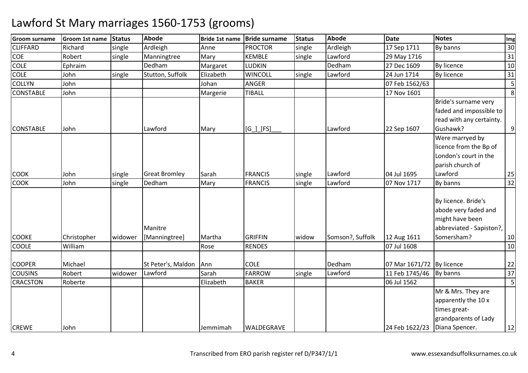| <b>Groom surname</b> | Groom 1st name | Status  | <b>Abode</b>         | <b>Bride 1st name</b> | <b>Bride surname</b> | <b>Status</b> | <b>Abode</b>     | <b>Date</b>                 | <b>Notes</b>             | Img                     |
|----------------------|----------------|---------|----------------------|-----------------------|----------------------|---------------|------------------|-----------------------------|--------------------------|-------------------------|
| <b>CLIFFARD</b>      | Richard        | single  | Ardleigh             | Anne                  | <b>PROCTOR</b>       | single        | Ardleigh         | 17 Sep 1711                 | By banns                 | 30                      |
| <b>COE</b>           | Robert         | single  | Manningtree          | Mary                  | <b>KEMBLE</b>        | single        | Lawford          | 29 May 1716                 |                          | 31                      |
| <b>COLE</b>          | Ephraim        |         | Dedham               | Margaret              | <b>LUDKIN</b>        |               | Dedham           | 27 Dec 1609                 | By licence               | 10                      |
| COLE                 | John           | single  | Stutton, Suffolk     | Elizabeth             | <b>WINCOLL</b>       | single        | Lawford          | 24 Jun 1714                 | By licence               | 31                      |
| <b>COLLYN</b>        | John           |         |                      | Johan                 | <b>ANGER</b>         |               |                  | 07 Feb 1562/63              |                          | $\overline{\mathbf{5}}$ |
| <b>CONSTABLE</b>     | John           |         |                      | Margerie              | <b>TIBALL</b>        |               |                  | 17 Nov 1601                 |                          | 8                       |
|                      |                |         |                      |                       |                      |               |                  |                             | Bride's surname very     |                         |
|                      |                |         |                      |                       |                      |               |                  |                             | faded and impossible to  |                         |
|                      |                |         |                      |                       |                      |               |                  |                             | read with any certainty. |                         |
| <b>CONSTABLE</b>     | John           |         | Lawford              | Mary                  | $[G_$ [FS]           |               | Lawford          | 22 Sep 1607                 | Gushawk?                 | $\overline{9}$          |
|                      |                |         |                      |                       |                      |               |                  |                             | Were marryed by          |                         |
|                      |                |         |                      |                       |                      |               |                  |                             | licence from the Bp of   |                         |
|                      |                |         |                      |                       |                      |               |                  |                             | London's court in the    |                         |
|                      |                |         |                      |                       |                      |               |                  |                             | parish church of         |                         |
| <b>COOK</b>          | John           | single  | <b>Great Bromley</b> | Sarah                 | <b>FRANCIS</b>       | single        | Lawford          | 04 Jul 1695                 | Lawford                  | 25                      |
| <b>COOK</b>          | John           | single  | Dedham               | Mary                  | <b>FRANCIS</b>       | single        | Lawford          | 07 Nov 1717                 | By banns                 | 32                      |
|                      |                |         |                      |                       |                      |               |                  |                             |                          |                         |
|                      |                |         |                      |                       |                      |               |                  |                             | By licence. Bride's      |                         |
|                      |                |         |                      |                       |                      |               |                  |                             | abode very faded and     |                         |
|                      |                |         |                      |                       |                      |               |                  |                             | might have been          |                         |
|                      |                |         | Manitre              |                       |                      |               |                  |                             | abbreviated - Sapiston?, |                         |
| <b>COOKE</b>         | Christopher    | widower | [Manningtree]        | Martha                | <b>GRIFFIN</b>       | widow         | Somson?, Suffolk | 12 Aug 1611                 | Somersham?               | 10                      |
| <b>COOLE</b>         | William        |         |                      | Rose                  | <b>RENDES</b>        |               |                  | 07 Jul 1608                 |                          | 10                      |
|                      |                |         |                      |                       |                      |               |                  |                             |                          |                         |
| <b>COOPER</b>        | Michael        |         | St Peter's, Maldon   | Ann                   | <b>COLE</b>          |               | Dedham           | 07 Mar 1671/72   By licence |                          | 22                      |
| <b>COUSINS</b>       | Robert         | widower | Lawford              | Sarah                 | <b>FARROW</b>        | single        | Lawford          | 11 Feb 1745/46              | By banns                 | 37                      |
| <b>CRACSTON</b>      | Roberte        |         |                      | Elizabeth             | <b>BAKER</b>         |               |                  | 06 Jul 1562                 |                          | 5                       |
|                      |                |         |                      |                       |                      |               |                  |                             | Mr & Mrs. They are       |                         |
|                      |                |         |                      |                       |                      |               |                  |                             | apparently the 10 x      |                         |
|                      |                |         |                      |                       |                      |               |                  |                             | times great-             |                         |
|                      |                |         |                      |                       |                      |               |                  |                             | grandparents of Lady     |                         |
| <b>CREWE</b>         | John           |         |                      | Jemmimah              | WALDEGRAVE           |               |                  | 24 Feb 1622/23              | Diana Spencer.           | 12                      |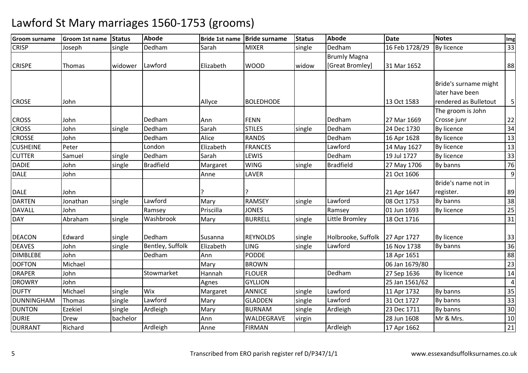| <b>Groom surname</b> | Groom 1st name | Status   | <b>Abode</b>            | <b>Bride 1st name</b> | <b>Bride surname</b> | <b>Status</b> | Abode               | <b>Date</b>    | <b>Notes</b>          | Img            |
|----------------------|----------------|----------|-------------------------|-----------------------|----------------------|---------------|---------------------|----------------|-----------------------|----------------|
| <b>CRISP</b>         | Joseph         | single   | Dedham                  | Sarah                 | <b>MIXER</b>         | single        | Dedham              | 16 Feb 1728/29 | <b>By licence</b>     | 33             |
|                      |                |          |                         |                       |                      |               | <b>Brumly Magna</b> |                |                       |                |
| <b>CRISPE</b>        | Thomas         | widower  | Lawford                 | Elizabeth             | <b>WOOD</b>          | widow         | [Great Bromley]     | 31 Mar 1652    |                       | 88             |
|                      |                |          |                         |                       |                      |               |                     |                |                       |                |
|                      |                |          |                         |                       |                      |               |                     |                | Bride's surname might |                |
|                      |                |          |                         |                       |                      |               |                     |                | later have been       |                |
| <b>CROSE</b>         | John           |          |                         | Allyce                | <b>BOLEDHODE</b>     |               |                     | 13 Oct 1583    | rendered as Bulletout | 5 <sub>l</sub> |
|                      |                |          |                         |                       |                      |               |                     |                | The groom is John     |                |
| <b>CROSS</b>         | John           |          | Dedham                  | Ann                   | <b>FENN</b>          |               | Dedham              | 27 Mar 1669    | Crosse junr           | 22             |
| <b>CROSS</b>         | John           | single   | Dedham                  | Sarah                 | <b>STILES</b>        | single        | Dedham              | 24 Dec 1730    | By licence            | 34             |
| <b>CROSSE</b>        | John           |          | Dedham                  | Alice                 | <b>RANDS</b>         |               | Dedham              | 16 Apr 1628    | By licence            | 13             |
| <b>CUSHEINE</b>      | Peter          |          | London                  | Elizabeth             | <b>FRANCES</b>       |               | Lawford             | 14 May 1627    | By licence            | 13             |
| <b>CUTTER</b>        | Samuel         | single   | Dedham                  | Sarah                 | LEWIS                |               | Dedham              | 19 Jul 1727    | By licence            | 33             |
| <b>DADIE</b>         | John           | single   | <b>Bradfield</b>        | Margaret              | <b>WING</b>          | single        | <b>Bradfield</b>    | 27 May 1706    | By banns              | 76             |
| <b>DALE</b>          | John           |          |                         | Anne                  | LAVER                |               |                     | 21 Oct 1606    |                       | $\overline{9}$ |
|                      |                |          |                         |                       |                      |               |                     |                | Bride's name not in   |                |
| <b>DALE</b>          | John           |          |                         |                       |                      |               |                     | 21 Apr 1647    | register.             | 89             |
| <b>DARTEN</b>        | Jonathan       | single   | Lawford                 | Mary                  | <b>RAMSEY</b>        | single        | Lawford             | 08 Oct 1753    | By banns              | 38             |
| <b>DAVALL</b>        | John           |          | Ramsey                  | Priscilla             | <b>JONES</b>         |               | Ramsey              | 01 Jun 1693    | By licence            | 25             |
| DAY                  | Abraham        | single   | Washbrook               | Mary                  | <b>BURRELL</b>       | single        | Little Bromley      | 18 Oct 1716    |                       | 31             |
|                      |                |          |                         |                       |                      |               |                     |                |                       |                |
| <b>DEACON</b>        | Edward         | single   | Dedham                  | Susanna               | <b>REYNOLDS</b>      | single        | Holbrooke, Suffolk  | 27 Apr 1727    | By licence            | 33             |
| <b>DEAVES</b>        | John           | single   | <b>Bentley, Suffolk</b> | Elizabeth             | <b>LING</b>          | single        | Lawford             | 16 Nov 1738    | By banns              | 36             |
| <b>DIMBLEBE</b>      | John           |          | Dedham                  | Ann                   | <b>PODDE</b>         |               |                     | 18 Apr 1651    |                       | 88             |
| <b>DOFTON</b>        | Michael        |          |                         | Mary                  | <b>BROWN</b>         |               |                     | 06 Jan 1679/80 |                       | 23             |
| <b>DRAPER</b>        | John           |          | Stowmarket              | Hannah                | <b>FLOUER</b>        |               | Dedham              | 27 Sep 1636    | By licence            | 14             |
| <b>DROWRY</b>        | John           |          |                         | Agnes                 | <b>GYLLION</b>       |               |                     | 25 Jan 1561/62 |                       | $\overline{a}$ |
| <b>DUFTY</b>         | Michael        | single   | Wix                     | Margaret              | <b>ANNICE</b>        | single        | Lawford             | 11 Apr 1732    | By banns              | 35             |
| <b>DUNNINGHAM</b>    | Thomas         | single   | Lawford                 | Mary                  | <b>GLADDEN</b>       | single        | Lawford             | 31 Oct 1727    | By banns              | 33             |
| <b>DUNTON</b>        | <b>Ezekiel</b> | single   | Ardleigh                | Mary                  | <b>BURNAM</b>        | single        | Ardleigh            | 23 Dec 1711    | By banns              | 30             |
| <b>DURIE</b>         | <b>Drew</b>    | bachelor |                         | Ann                   | WALDEGRAVE           | virgin        |                     | 28 Jun 1608    | Mr & Mrs.             | 10             |
| <b>DURRANT</b>       | Richard        |          | Ardleigh                | Anne                  | <b>FIRMAN</b>        |               | Ardleigh            | 17 Apr 1662    |                       | 21             |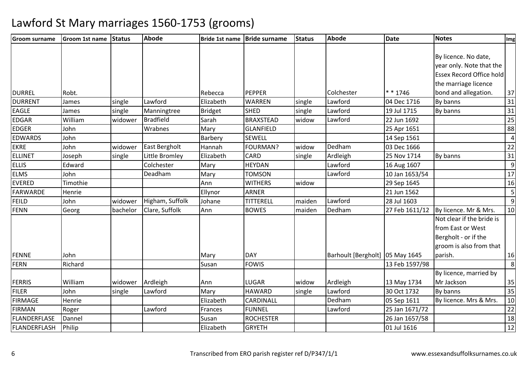| <b>Groom surname</b> | Groom 1st name | <b>Status</b> | <b>Abode</b>     |                | Bride 1st name   Bride surname | <b>Status</b> | <b>Abode</b>                    | <b>Date</b>    | <b>Notes</b>                    | Img             |
|----------------------|----------------|---------------|------------------|----------------|--------------------------------|---------------|---------------------------------|----------------|---------------------------------|-----------------|
|                      |                |               |                  |                |                                |               |                                 |                |                                 |                 |
|                      |                |               |                  |                |                                |               |                                 |                | By licence. No date,            |                 |
|                      |                |               |                  |                |                                |               |                                 |                | year only. Note that the        |                 |
|                      |                |               |                  |                |                                |               |                                 |                | <b>Essex Record Office hold</b> |                 |
|                      |                |               |                  |                |                                |               |                                 |                | the marriage licence            |                 |
| <b>DURREL</b>        | Robt.          |               |                  | Rebecca        | <b>PEPPER</b>                  |               | Colchester                      | * * 1746       | bond and allegation.            | 37              |
| <b>DURRENT</b>       | James          | single        | Lawford          | Elizabeth      | <b>WARREN</b>                  | single        | Lawford                         | 04 Dec 1716    | By banns                        | 31              |
| <b>EAGLE</b>         | James          | single        | Manningtree      | <b>Bridget</b> | <b>SHED</b>                    | single        | Lawford                         | 19 Jul 1715    | By banns                        | $\overline{31}$ |
| <b>EDGAR</b>         | William        | widower       | <b>Bradfield</b> | Sarah          | <b>BRAXSTEAD</b>               | widow         | Lawford                         | 22 Jun 1692    |                                 | 25              |
| <b>EDGER</b>         | John           |               | Wrabnes          | Mary           | <b>GLANFIELD</b>               |               |                                 | 25 Apr 1651    |                                 | 88              |
| <b>EDWARDS</b>       | John           |               |                  | Barbery        | <b>SEWELL</b>                  |               |                                 | 14 Sep 1561    |                                 | $\overline{4}$  |
| <b>EKRE</b>          | John           | widower       | East Bergholt    | Hannah         | <b>FOURMAN?</b>                | widow         | Dedham                          | 03 Dec 1666    |                                 | 22              |
| <b>ELLINET</b>       | Joseph         | single        | Little Bromley   | Elizabeth      | <b>CARD</b>                    | single        | Ardleigh                        | 25 Nov 1714    | By banns                        | 31              |
| <b>ELLIS</b>         | Edward         |               | Colchester       | Mary           | <b>HEYDAN</b>                  |               | Lawford                         | 16 Aug 1607    |                                 | 9               |
| <b>ELMS</b>          | John           |               | Deadham          | Mary           | <b>TOMSON</b>                  |               | Lawford                         | 10 Jan 1653/54 |                                 | 17              |
| <b>EVERED</b>        | Timothie       |               |                  | Ann            | <b>WITHERS</b>                 | widow         |                                 | 29 Sep 1645    |                                 | 16              |
| <b>FARWARDE</b>      | Henrie         |               |                  | Ellynor        | <b>ARNER</b>                   |               |                                 | 21 Jun 1562    |                                 |                 |
| <b>FEILD</b>         | John           | widower       | Higham, Suffolk  | Johane         | TITTERELL                      | maiden        | Lawford                         | 28 Jul 1603    |                                 | $\overline{9}$  |
| <b>FENN</b>          | Georg          | bachelor      | Clare, Suffolk   | Ann            | <b>BOWES</b>                   | maiden        | Dedham                          | 27 Feb 1611/12 | By licence. Mr & Mrs.           | 10              |
|                      |                |               |                  |                |                                |               |                                 |                | Not clear if the bride is       |                 |
|                      |                |               |                  |                |                                |               |                                 |                | from East or West               |                 |
|                      |                |               |                  |                |                                |               |                                 |                | Bergholt - or if the            |                 |
|                      |                |               |                  |                |                                |               |                                 |                | groom is also from that         |                 |
| <b>FENNE</b>         | John           |               |                  | Mary           | <b>DAY</b>                     |               | Barhoult [Bergholt] 05 May 1645 |                | parish.                         | 16              |
| <b>FERN</b>          | Richard        |               |                  | Susan          | <b>FOWIS</b>                   |               |                                 | 13 Feb 1597/98 |                                 | $\infty$        |
|                      |                |               |                  |                |                                |               |                                 |                | By licence, married by          |                 |
| <b>FERRIS</b>        | William        | widower       | Ardleigh         | Ann            | <b>LUGAR</b>                   | widow         | Ardleigh                        | 13 May 1734    | Mr Jackson                      | 35              |
| <b>FILER</b>         | John           | single        | Lawford          | Mary           | <b>HAWARD</b>                  | single        | Lawford                         | 30 Oct 1732    | By banns                        | 35              |
| <b>FIRMAGE</b>       | Henrie         |               |                  | Elizabeth      | CARDINALL                      |               | Dedham                          | 05 Sep 1611    | By licence. Mrs & Mrs.          | 10              |
| <b>FIRMAN</b>        | Roger          |               | Lawford          | Frances        | <b>FUNNEL</b>                  |               | Lawford                         | 25 Jan 1671/72 |                                 | 22              |
| FLANDERFLASE         | Dannel         |               |                  | Susan          | <b>ROCHESTER</b>               |               |                                 | 26 Jan 1657/58 |                                 | 18              |
| <b>FLANDERFLASH</b>  | Philip         |               |                  | Elizabeth      | <b>GRYETH</b>                  |               |                                 | 01 Jul 1616    |                                 | $\overline{12}$ |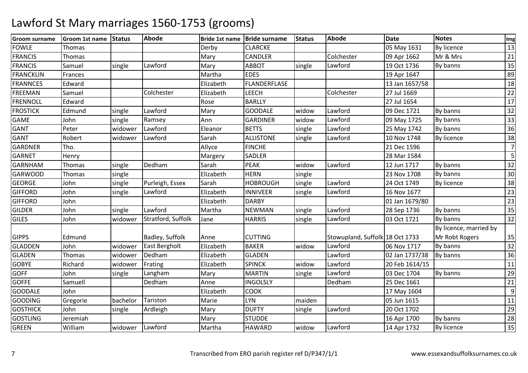| <b>Groom surname</b> | Groom 1st name | <b>Status</b> | <b>Abode</b>         |           | Bride 1st name Bride surname | Status | Abode                           | <b>Date</b>    | <b>Notes</b>           | Img            |
|----------------------|----------------|---------------|----------------------|-----------|------------------------------|--------|---------------------------------|----------------|------------------------|----------------|
| <b>FOWLE</b>         | Thomas         |               |                      | Derby     | <b>CLARCKE</b>               |        |                                 | 05 May 1631    | <b>By licence</b>      | 13             |
| <b>FRANCIS</b>       | Thomas         |               |                      | Mary      | <b>CANDLER</b>               |        | Colchester                      | 09 Apr 1662    | Mr & Mrs               | 21             |
| <b>FRANCIS</b>       | Samuel         | single        | Lawford              | Mary      | <b>ABBOT</b>                 | single | Lawford                         | 19 Oct 1736    | By banns               | 35             |
| <b>FRANCKLIN</b>     | Frances        |               |                      | Martha    | <b>EDES</b>                  |        |                                 | 19 Apr 1647    |                        | 89             |
| <b>FRANNCES</b>      | Edward         |               |                      | Elizabeth | <b>FLANDERFLASE</b>          |        |                                 | 13 Jan 1657/58 |                        | 18             |
| <b>FREEMAN</b>       | Samuel         |               | Colchester           | Elizabeth | <b>LEECH</b>                 |        | Colchester                      | 27 Jul 1669    |                        | 22             |
| <b>FRENNOLL</b>      | Edward         |               |                      | Rose      | <b>BARLLY</b>                |        |                                 | 27 Jul 1654    |                        | 17             |
| <b>FROSTICK</b>      | Edmund         | single        | Lawford              | Mary      | <b>GOODALE</b>               | widow  | Lawford                         | 09 Dec 1721    | By banns               | 32             |
| <b>GAME</b>          | John           | single        | Ramsey               | Ann       | <b>GARDINER</b>              | widow  | Lawford                         | 09 May 1725    | By banns               | 33             |
| <b>GANT</b>          | Peter          | widower       | Lawford              | Eleanor   | <b>BETTS</b>                 | single | Lawford                         | 25 May 1742    | By banns               | 36             |
| <b>GANT</b>          | Robert         | widower       | Lawford              | Sarah     | <b>ALLISTONE</b>             | single | Lawford                         | 10 Nov 1748    | By licence             | 38             |
| <b>GARDNER</b>       | Tho.           |               |                      | Allyce    | <b>FINCHE</b>                |        |                                 | 21 Dec 1596    |                        | $\overline{7}$ |
| <b>GARNET</b>        | Henry          |               |                      | Margery   | <b>SADLER</b>                |        |                                 | 28 Mar 1584    |                        | 5              |
| <b>GARNHAM</b>       | Thomas         | single        | Dedham               | Sarah     | <b>PEAK</b>                  | widow  | Lawford                         | 12 Jun 1717    | By banns               | 32             |
| <b>GARWOOD</b>       | Thomas         | single        |                      | Elizabeth | <b>HERN</b>                  | single |                                 | 23 Nov 1708    | By banns               | 30             |
| <b>GEORGE</b>        | John           | single        | Purleigh, Essex      | Sarah     | <b>HOBROUGH</b>              | single | Lawford                         | 24 Oct 1749    | By licence             | 38             |
| <b>GIFFORD</b>       | John           | single        | Lawford              | Elizabeth | <b>INNIVEER</b>              | single | Lawford                         | 16 Nov 1677    |                        | 23             |
| <b>GIFFORD</b>       | John           |               |                      | Elizabeth | <b>DARBY</b>                 |        |                                 | 01 Jan 1679/80 |                        | 23             |
| <b>GILDER</b>        | John           | single        | Lawford              | Martha    | <b>NEWMAN</b>                | single | Lawford                         | 28 Sep 1736    | By banns               | 35             |
| <b>GILES</b>         | John           | widower       | Stratford, Suffolk   | Jane      | <b>HARRIS</b>                | single | Lawford                         | 03 Oct 1721    | By banns               | 32             |
|                      |                |               |                      |           |                              |        |                                 |                | By licence, married by |                |
| <b>GIPPS</b>         | Edmund         |               | Badley, Suffolk      | Anne      | <b>CUTTING</b>               |        | Stowupland, Suffolk 18 Oct 1733 |                | Mr Robt Rogers         | 35             |
| <b>GLADDEN</b>       | John           | widower       | <b>East Bergholt</b> | Elizabeth | <b>BAKER</b>                 | widow  | Lawford                         | 06 Nov 1717    | By banns               | 32             |
| <b>GLADEN</b>        | Thomas         | widower       | Dedham               | Elizabeth | <b>GLADEN</b>                |        | Lawford                         | 02 Jan 1737/38 | By banns               | 36             |
| <b>GOBYE</b>         | Richard        | widower       | Frating              | Elizabeth | <b>SPINCK</b>                | widow  | Lawford                         | 20 Feb 1614/15 |                        | 11             |
| <b>GOFF</b>          | John           | single        | Langham              | Mary      | <b>MARTIN</b>                | single | Lawford                         | 03 Dec 1704    | By banns               | 29             |
| <b>GOFFE</b>         | Samuell        |               | Dedham               | Anne      | <b>INGOLSLY</b>              |        | Dedham                          | 25 Dec 1661    |                        | 21             |
| <b>GOODALE</b>       | John           |               |                      | Elizabeth | <b>COOK</b>                  |        |                                 | 17 May 1604    |                        | 9              |
| <b>GOODING</b>       | Gregorie       | bachelor      | Tariston             | Marie     | <b>LYN</b>                   | maiden |                                 | 05 Jun 1615    |                        | 11             |
| <b>GOSTHICK</b>      | John           | single        | Ardleigh             | Mary      | <b>DUFTY</b>                 | single | Lawford                         | 20 Oct 1702    |                        | 29             |
| <b>GOSTLING</b>      | Jeremiah       |               |                      | Mary      | <b>STUDDE</b>                |        |                                 | 16 Apr 1700    | By banns               | 28             |
| <b>GREEN</b>         | William        | widower       | Lawford              | Martha    | <b>HAWARD</b>                | widow  | Lawford                         | 14 Apr 1732    | By licence             | 35             |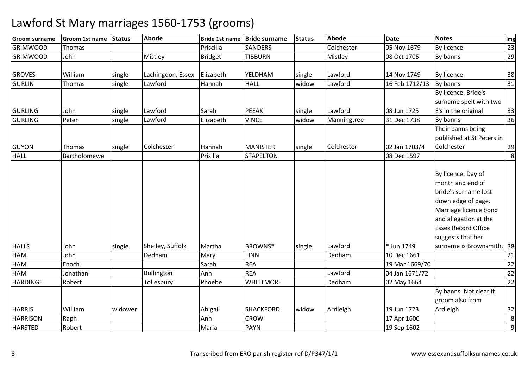| <b>Groom surname</b> | Groom 1st name     | <b>Status</b> | <b>Abode</b>               | Bride 1st name | <b>Bride surname</b>   | <b>Status</b> | <b>Abode</b>      | <b>Date</b>               | <b>Notes</b>                                                                                                                           | Img      |
|----------------------|--------------------|---------------|----------------------------|----------------|------------------------|---------------|-------------------|---------------------------|----------------------------------------------------------------------------------------------------------------------------------------|----------|
| <b>GRIMWOOD</b>      | Thomas             |               |                            | Priscilla      | <b>SANDERS</b>         |               | Colchester        | 05 Nov 1679               | <b>By licence</b>                                                                                                                      | 23       |
| <b>GRIMWOOD</b>      | John               |               | Mistley                    | <b>Bridget</b> | <b>TIBBURN</b>         |               | Mistley           | 08 Oct 1705               | By banns                                                                                                                               | 29       |
|                      |                    |               |                            |                |                        |               |                   |                           |                                                                                                                                        |          |
| <b>GROVES</b>        | William            | single        | Lachingdon, Essex          | Elizabeth      | YELDHAM                | single        | Lawford           | 14 Nov 1749               | <b>By licence</b>                                                                                                                      | 38       |
| <b>GURLIN</b>        | Thomas             | single        | Lawford                    | Hannah         | <b>HALL</b>            | widow         | Lawford           | 16 Feb 1712/13            | By banns                                                                                                                               | 31       |
|                      |                    |               |                            |                |                        |               |                   |                           | By licence. Bride's                                                                                                                    |          |
|                      |                    |               |                            |                |                        |               |                   |                           | surname spelt with two                                                                                                                 |          |
| <b>GURLING</b>       | John               | single        | Lawford                    | Sarah          | <b>PEEAK</b>           | single        | Lawford           | 08 Jun 1725               | E's in the original                                                                                                                    | 33       |
| <b>GURLING</b>       | Peter              | single        | Lawford                    | Elizabeth      | <b>VINCE</b>           | widow         | Manningtree       | 31 Dec 1738               | By banns                                                                                                                               | 36       |
|                      |                    |               |                            |                |                        |               |                   |                           | Their banns being                                                                                                                      |          |
|                      |                    |               |                            |                |                        |               |                   |                           | published at St Peters in                                                                                                              |          |
| <b>GUYON</b>         | Thomas             | single        | Colchester                 | Hannah         | <b>MANISTER</b>        | single        | Colchester        | 02 Jan 1703/4             | Colchester                                                                                                                             | 29       |
| <b>HALL</b>          | Bartholomewe       |               |                            | Prisilla       | <b>STAPELTON</b>       |               |                   | 08 Dec 1597               |                                                                                                                                        | 8        |
|                      |                    |               |                            |                |                        |               |                   |                           | By licence. Day of<br>month and end of<br>bride's surname lost<br>down edge of page.<br>Marriage licence bond<br>and allegation at the |          |
|                      |                    |               |                            |                |                        |               |                   |                           | <b>Essex Record Office</b>                                                                                                             |          |
|                      |                    |               |                            |                |                        |               |                   |                           | suggests that her                                                                                                                      |          |
| <b>HALLS</b><br>HAM  | John<br>John       | single        | Shelley, Suffolk<br>Dedham | Martha         | BROWNS*<br><b>FINN</b> | single        | Lawford<br>Dedham | * Jun 1749<br>10 Dec 1661 | surname is Brownsmith.   38                                                                                                            |          |
| HAM                  | Enoch              |               |                            | Mary<br>Sarah  | <b>REA</b>             |               |                   | 19 Mar 1669/70            |                                                                                                                                        | 21<br>22 |
| <b>HAM</b>           |                    |               |                            |                | <b>REA</b>             |               | Lawford           |                           |                                                                                                                                        |          |
| <b>HARDINGE</b>      | Jonathan<br>Robert |               | Bullington<br>Tollesbury   | Ann<br>Phoebe  | <b>WHITTMORE</b>       |               | Dedham            | 04 Jan 1671/72            |                                                                                                                                        | 22<br>22 |
|                      |                    |               |                            |                |                        |               |                   | 02 May 1664               | By banns. Not clear if                                                                                                                 |          |
|                      |                    |               |                            |                |                        |               |                   |                           | groom also from                                                                                                                        |          |
| <b>HARRIS</b>        | William            | widower       |                            |                | <b>SHACKFORD</b>       | widow         |                   | 19 Jun 1723               | Ardleigh                                                                                                                               |          |
| <b>HARRISON</b>      |                    |               |                            | Abigail        | <b>CROW</b>            |               | Ardleigh          |                           |                                                                                                                                        | 32       |
|                      | Raph               |               |                            | Ann            |                        |               |                   | 17 Apr 1600               |                                                                                                                                        | 8<br>9   |
| <b>HARSTED</b>       | Robert             |               |                            | Maria          | <b>PAYN</b>            |               |                   | 19 Sep 1602               |                                                                                                                                        |          |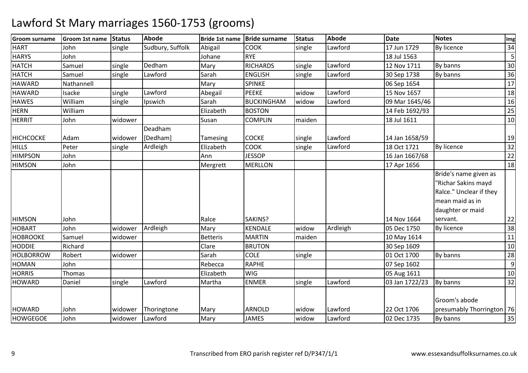| <b>IGroom surname</b> | <b>Groom 1st name</b> | <b>Status</b> | <b>Abode</b>     | <b>Bride 1st name</b> | <b>Bride surname</b> | <b>Status</b> | <b>Abode</b> | <b>Date</b>    | <b>Notes</b>                | Img |
|-----------------------|-----------------------|---------------|------------------|-----------------------|----------------------|---------------|--------------|----------------|-----------------------------|-----|
| <b>HART</b>           | John                  | single        | Sudbury, Suffolk | Abigail               | <b>COOK</b>          | single        | Lawford      | 17 Jun 1729    | By licence                  | 34  |
| <b>HARYS</b>          | John                  |               |                  | Johane                | <b>RYE</b>           |               |              | 18 Jul 1563    |                             | 5   |
| <b>HATCH</b>          | Samuel                | single        | Dedham           | Mary                  | <b>RICHARDS</b>      | single        | Lawford      | 12 Nov 1711    | By banns                    | 30  |
| <b>HATCH</b>          | Samuel                | single        | Lawford          | Sarah                 | <b>ENGLISH</b>       | single        | Lawford      | 30 Sep 1738    | By banns                    | 36  |
| <b>HAWARD</b>         | Nathannell            |               |                  | Mary                  | <b>SPINKE</b>        |               |              | 06 Sep 1654    |                             | 17  |
| <b>HAWARD</b>         | Isacke                | single        | Lawford          | Abegail               | <b>PEEKE</b>         | widow         | Lawford      | 15 Nov 1657    |                             | 18  |
| <b>HAWES</b>          | William               | single        | Ipswich          | Sarah                 | <b>BUCKINGHAM</b>    | widow         | Lawford      | 09 Mar 1645/46 |                             | 16  |
| <b>HERN</b>           | William               |               |                  | Elizabeth             | <b>BOSTON</b>        |               |              | 14 Feb 1692/93 |                             | 25  |
| <b>HERRIT</b>         | John                  | widower       |                  | Susan                 | <b>COMPLIN</b>       | maiden        |              | 18 Jul 1611    |                             | 10  |
|                       |                       |               | Deadham          |                       |                      |               |              |                |                             |     |
| <b>HICHCOCKE</b>      | Adam                  | widower       | [Dedham]         | Tamesing              | <b>COCKE</b>         | single        | Lawford      | 14 Jan 1658/59 |                             | 19  |
| <b>HILLS</b>          | Peter                 | single        | Ardleigh         | Elizabeth             | <b>COOK</b>          | single        | Lawford      | 18 Oct 1721    | By licence                  | 32  |
| <b>HIMPSON</b>        | John                  |               |                  | Ann                   | <b>JESSOP</b>        |               |              | 16 Jan 1667/68 |                             | 22  |
| <b>HIMSON</b>         | John                  |               |                  | Mergrett              | <b>MERLLON</b>       |               |              | 17 Apr 1656    |                             | 18  |
|                       |                       |               |                  |                       |                      |               |              |                | Bride's name given as       |     |
|                       |                       |               |                  |                       |                      |               |              |                | "Richar Sakins mayd         |     |
|                       |                       |               |                  |                       |                      |               |              |                | Ralce." Unclear if they     |     |
|                       |                       |               |                  |                       |                      |               |              |                | mean maid as in             |     |
|                       |                       |               |                  |                       |                      |               |              |                | daughter or maid            |     |
| <b>HIMSON</b>         | John                  |               |                  | Ralce                 | SAKINS?              |               |              | 14 Nov 1664    | servant.                    | 22  |
| <b>HOBART</b>         | John                  | widower       | Ardleigh         | Mary                  | KENDALE              | widow         | Ardleigh     | 05 Dec 1750    | By licence                  | 38  |
| <b>HOBROOKE</b>       | Samuel                | widower       |                  | <b>Betteris</b>       | <b>MARTIN</b>        | maiden        |              | 10 May 1614    |                             | 11  |
| <b>HODDIE</b>         | Richard               |               |                  | Clare                 | <b>BRUTON</b>        |               |              | 30 Sep 1609    |                             | 10  |
| <b>HOLBORROW</b>      | Robert                | widower       |                  | Sarah                 | <b>COLE</b>          | single        |              | 01 Oct 1700    | By banns                    | 28  |
| <b>HOMAN</b>          | John                  |               |                  | Rebecca               | <b>RAPHE</b>         |               |              | 07 Sep 1602    |                             | 9   |
| <b>HORRIS</b>         | Thomas                |               |                  | Elizabeth             | <b>WIG</b>           |               |              | 05 Aug 1611    |                             | 10  |
| <b>HOWARD</b>         | Daniel                | single        | Lawford          | Martha                | <b>ENMER</b>         | single        | Lawford      | 03 Jan 1722/23 | By banns                    | 32  |
|                       |                       |               |                  |                       |                      |               |              |                | Groom's abode               |     |
| <b>HOWARD</b>         | John                  | widower       | Thoringtone      | Mary                  | <b>ARNOLD</b>        | widow         | Lawford      | 22 Oct 1706    | presumably Thorrington   76 |     |
| <b>HOWGEGOE</b>       | John                  | widower       | Lawford          | Mary                  | <b>JAMES</b>         | widow         | Lawford      | 02 Dec 1735    | By banns                    | 35  |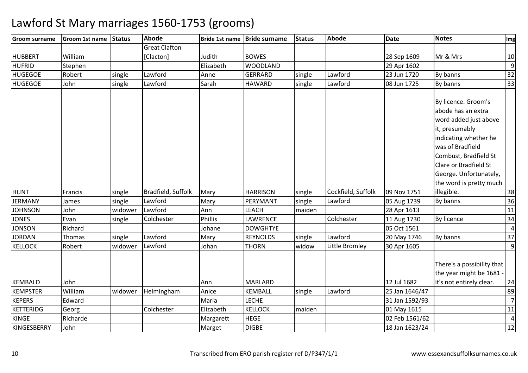| <b>Groom surname</b> | Groom 1st name | Status  | <b>Abode</b>         | <b>Bride 1st name</b> | <b>Bride surname</b> | <b>Status</b> | Abode              | <b>Date</b>    | <b>Notes</b>               | Img              |
|----------------------|----------------|---------|----------------------|-----------------------|----------------------|---------------|--------------------|----------------|----------------------------|------------------|
|                      |                |         | <b>Great Clafton</b> |                       |                      |               |                    |                |                            |                  |
| <b>HUBBERT</b>       | William        |         | [Clacton]            | Judith                | <b>BOWES</b>         |               |                    | 28 Sep 1609    | Mr & Mrs                   | 10               |
| <b>HUFRID</b>        | Stephen        |         |                      | Elizabeth             | <b>WOODLAND</b>      |               |                    | 29 Apr 1602    |                            | $\boldsymbol{9}$ |
| <b>HUGEGOE</b>       | Robert         | single  | Lawford              | Anne                  | <b>GERRARD</b>       | single        | Lawford            | 23 Jun 1720    | By banns                   | 32               |
| <b>HUGEGOE</b>       | John           | single  | Lawford              | Sarah                 | <b>HAWARD</b>        | single        | Lawford            | 08 Jun 1725    | By banns                   | $\overline{33}$  |
|                      |                |         |                      |                       |                      |               |                    |                |                            |                  |
|                      |                |         |                      |                       |                      |               |                    |                | By licence. Groom's        |                  |
|                      |                |         |                      |                       |                      |               |                    |                | abode has an extra         |                  |
|                      |                |         |                      |                       |                      |               |                    |                | word added just above      |                  |
|                      |                |         |                      |                       |                      |               |                    |                | it, presumably             |                  |
|                      |                |         |                      |                       |                      |               |                    |                | indicating whether he      |                  |
|                      |                |         |                      |                       |                      |               |                    |                | was of Bradfield           |                  |
|                      |                |         |                      |                       |                      |               |                    |                | Combust, Bradfield St      |                  |
|                      |                |         |                      |                       |                      |               |                    |                | Clare or Bradfield St      |                  |
|                      |                |         |                      |                       |                      |               |                    |                | George. Unfortunately,     |                  |
|                      |                |         |                      |                       |                      |               |                    |                | the word is pretty much    |                  |
| <b>HUNT</b>          | <b>Francis</b> | single  | Bradfield, Suffolk   | Mary                  | <b>HARRISON</b>      | single        | Cockfield, Suffolk | 09 Nov 1751    | illegible.                 | 38               |
| <b>JERMANY</b>       | James          | single  | Lawford              | Mary                  | PERYMANT             | single        | Lawford            | 05 Aug 1739    | By banns                   | 36               |
| <b>JOHNSON</b>       | John           | widower | Lawford              | Ann                   | <b>LEACH</b>         | maiden        |                    | 28 Apr 1613    |                            | 11               |
| <b>JONES</b>         | Evan           | single  | Colchester           | Phillis               | LAWRENCE             |               | Colchester         | 11 Aug 1730    | By licence                 | 34               |
| <b>JONSON</b>        | Richard        |         |                      | Johane                | <b>DOWGHTYE</b>      |               |                    | 05 Oct 1561    |                            | $\overline{4}$   |
| <b>JORDAN</b>        | Thomas         | single  | Lawford              | Mary                  | <b>REYNOLDS</b>      | single        | Lawford            | 20 May 1746    | By banns                   | 37               |
| <b>KELLOCK</b>       | Robert         | widower | Lawford              | Johan                 | <b>THORN</b>         | widow         | Little Bromley     | 30 Apr 1605    |                            | 9                |
|                      |                |         |                      |                       |                      |               |                    |                |                            |                  |
|                      |                |         |                      |                       |                      |               |                    |                | There's a possibility that |                  |
|                      |                |         |                      |                       |                      |               |                    |                | the year might be 1681 -   |                  |
| <b>KEMBALD</b>       | John           |         |                      | Ann                   | <b>MARLARD</b>       |               |                    | 12 Jul 1682    | it's not entirely clear.   | 24               |
| <b>KEMPSTER</b>      | William        | widower | Helmingham           | Anice                 | <b>KEMBALL</b>       | single        | Lawford            | 25 Jan 1646/47 |                            | 89               |
| <b>KEPERS</b>        | Edward         |         |                      | Maria                 | <b>LECHE</b>         |               |                    | 31 Jan 1592/93 |                            | $\overline{7}$   |
| KETTERIDG            | Georg          |         | Colchester           | Elizabeth             | <b>KELLOCK</b>       | maiden        |                    | 01 May 1615    |                            | 11               |
| <b>KINGE</b>         | Richarde       |         |                      | Margarett             | <b>HEGE</b>          |               |                    | 02 Feb 1561/62 |                            | $\overline{4}$   |
| KINGESBERRY          | John           |         |                      | Marget                | <b>DIGBE</b>         |               |                    | 18 Jan 1623/24 |                            | 12               |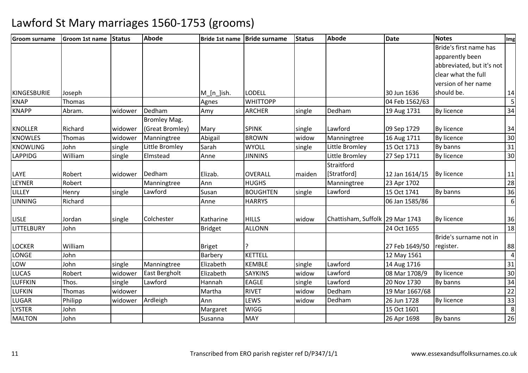| <b>Groom surname</b> | <b>Groom 1st name</b> | Status  | <b>Abode</b>        |                | Bride 1st name   Bride surname | <b>Status</b> | Abode                           | <b>Date</b>    | <b>Notes</b>              | Img            |
|----------------------|-----------------------|---------|---------------------|----------------|--------------------------------|---------------|---------------------------------|----------------|---------------------------|----------------|
|                      |                       |         |                     |                |                                |               |                                 |                | Bride's first name has    |                |
|                      |                       |         |                     |                |                                |               |                                 |                | apparently been           |                |
|                      |                       |         |                     |                |                                |               |                                 |                | abbreviated, but it's not |                |
|                      |                       |         |                     |                |                                |               |                                 |                | clear what the full       |                |
|                      |                       |         |                     |                |                                |               |                                 |                | version of her name       |                |
| <b>KINGESBURIE</b>   | Joseph                |         |                     | M_[n_]ish.     | <b>LODELL</b>                  |               |                                 | 30 Jun 1636    | should be.                | 14             |
| <b>KNAP</b>          | Thomas                |         |                     | Agnes          | <b>WHITTOPP</b>                |               |                                 | 04 Feb 1562/63 |                           | 5              |
| <b>KNAPP</b>         | Abram.                | widower | Dedham              | Amy            | <b>ARCHER</b>                  | single        | Dedham                          | 19 Aug 1731    | By licence                | 34             |
|                      |                       |         | <b>Bromley Mag.</b> |                |                                |               |                                 |                |                           |                |
| <b>KNOLLER</b>       | Richard               | widower | (Great Bromley)     | Mary           | <b>SPINK</b>                   | single        | Lawford                         | 09 Sep 1729    | By licence                | 34             |
| <b>KNOWLES</b>       | Thomas                | widower | Manningtree         | Abigail        | <b>BROWN</b>                   | widow         | Manningtree                     | 16 Aug 1711    | <b>By licence</b>         | 30             |
| <b>KNOWLING</b>      | John                  | single  | Little Bromley      | Sarah          | <b>WYOLL</b>                   | single        | Little Bromley                  | 15 Oct 1713    | By banns                  | 31             |
| <b>LAPPIDG</b>       | William               | single  | Elmstead            | Anne           | <b>JINNINS</b>                 |               | Little Bromley                  | 27 Sep 1711    | By licence                | 30             |
|                      |                       |         |                     |                |                                |               | Straitford                      |                |                           |                |
| LAYE                 | Robert                | widower | Dedham              | Elizab.        | OVERALL                        | maiden        | [Stratford]                     | 12 Jan 1614/15 | <b>By licence</b>         | 11             |
| <b>LEYNER</b>        | Robert                |         | Manningtree         | Ann            | <b>HUGHS</b>                   |               | Manningtree                     | 23 Apr 1702    |                           | 28             |
| LILLEY               | Henry                 | single  | Lawford             | Susan          | <b>BOUGHTEN</b>                | single        | Lawford                         | 15 Oct 1741    | By banns                  | 36             |
| <b>LINNING</b>       | Richard               |         |                     | Anne           | <b>HARRYS</b>                  |               |                                 | 06 Jan 1585/86 |                           | $6 \mid$       |
| <b>LISLE</b>         | Jordan                | single  | Colchester          | Katharine      | <b>HILLS</b>                   | widow         | Chattisham, Suffolk 29 Mar 1743 |                | <b>By licence</b>         | 36             |
| <b>LITTELBURY</b>    | John                  |         |                     | <b>Bridget</b> | <b>ALLONN</b>                  |               |                                 | 24 Oct 1655    |                           | 18             |
|                      |                       |         |                     |                |                                |               |                                 |                | Bride's surname not in    |                |
| <b>LOCKER</b>        | William               |         |                     | <b>Briget</b>  |                                |               |                                 | 27 Feb 1649/50 | register.                 | 88             |
| <b>LONGE</b>         | John                  |         |                     | Barbery        | <b>KETTELL</b>                 |               |                                 | 12 May 1561    |                           | $\overline{4}$ |
| LOW                  | John                  | single  | Manningtree         | Elizabeth      | <b>KEMBLE</b>                  | single        | Lawford                         | 14 Aug 1716    |                           | 31             |
| <b>LUCAS</b>         | Robert                | widower | East Bergholt       | Elizabeth      | <b>SAYKINS</b>                 | widow         | Lawford                         | 08 Mar 1708/9  | <b>By licence</b>         | 30             |
| <b>LUFFKIN</b>       | Thos.                 | single  | Lawford             | Hannah         | <b>EAGLE</b>                   | single        | Lawford                         | 20 Nov 1730    | By banns                  | 34             |
| <b>LUFKIN</b>        | Thomas                | widower |                     | Martha         | <b>RIVET</b>                   | widow         | Dedham                          | 19 Mar 1667/68 |                           | 22             |
| LUGAR                | Philipp               | widower | Ardleigh            | Ann            | LEWS                           | widow         | Dedham                          | 26 Jun 1728    | By licence                | 33             |
| <b>LYSTER</b>        | John                  |         |                     | Margaret       | <b>WIGG</b>                    |               |                                 | 15 Oct 1601    |                           | 8              |
| <b>MALTON</b>        | John                  |         |                     | Susanna        | <b>MAY</b>                     |               |                                 | 26 Apr 1698    | By banns                  | 26             |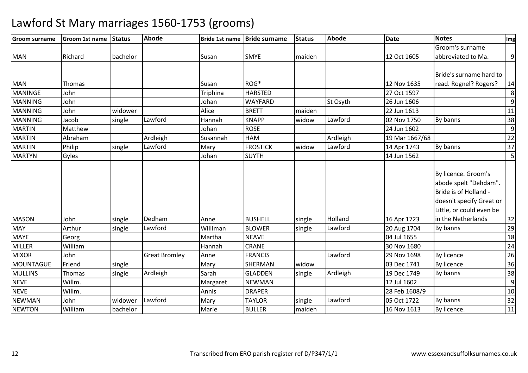| <b>Groom surname</b> | <b>Groom 1st name</b> | Status   | <b>Abode</b>         | <b>Bride 1st name</b> | <b>Bride surname</b> | <b>Status</b> | <b>Abode</b> | <b>Date</b>    | <b>Notes</b>                                                                                                                  | Img             |
|----------------------|-----------------------|----------|----------------------|-----------------------|----------------------|---------------|--------------|----------------|-------------------------------------------------------------------------------------------------------------------------------|-----------------|
|                      |                       |          |                      |                       |                      |               |              |                | Groom's surname                                                                                                               |                 |
| <b>MAN</b>           | Richard               | bachelor |                      | Susan                 | <b>SMYE</b>          | maiden        |              | 12 Oct 1605    | abbreviated to Ma.                                                                                                            | 9               |
|                      |                       |          |                      |                       |                      |               |              |                | Bride's surname hard to                                                                                                       |                 |
| <b>MAN</b>           | Thomas                |          |                      | Susan                 | ROG*                 |               |              | 12 Nov 1635    | read. Rognel? Rogers?                                                                                                         | 14              |
| <b>MANINGE</b>       | John                  |          |                      | Triphina              | <b>HARSTED</b>       |               |              | 27 Oct 1597    |                                                                                                                               | 8               |
| <b>MANNING</b>       | John                  |          |                      | Johan                 | <b>WAYFARD</b>       |               | St Osyth     | 26 Jun 1606    |                                                                                                                               | 9               |
| <b>MANNING</b>       | John                  | widower  |                      | Alice                 | <b>BRETT</b>         | maiden        |              | 22 Jun 1613    |                                                                                                                               | 11              |
| <b>MANNING</b>       | Jacob                 | single   | Lawford              | Hannah                | <b>KNAPP</b>         | widow         | Lawford      | 02 Nov 1750    | By banns                                                                                                                      | 38              |
| <b>MARTIN</b>        | Matthew               |          |                      | Johan                 | <b>ROSE</b>          |               |              | 24 Jun 1602    |                                                                                                                               | 9               |
| <b>MARTIN</b>        | Abraham               |          | Ardleigh             | Susannah              | <b>HAM</b>           |               | Ardleigh     | 19 Mar 1667/68 |                                                                                                                               | 22              |
| <b>MARTIN</b>        | Philip                | single   | Lawford              | Mary                  | <b>FROSTICK</b>      | widow         | Lawford      | 14 Apr 1743    | By banns                                                                                                                      | 37              |
| <b>MARTYN</b>        | Gyles                 |          |                      | Johan                 | <b>SUYTH</b>         |               |              | 14 Jun 1562    |                                                                                                                               | 5               |
|                      |                       |          |                      |                       |                      |               |              |                | By licence. Groom's<br>abode spelt "Dehdam".<br>Bride is of Holland -<br>doesn't specify Great or<br>Little, or could even be |                 |
| <b>MASON</b>         | John                  | single   | Dedham               | Anne                  | <b>BUSHELL</b>       | single        | Holland      | 16 Apr 1723    | in the Netherlands                                                                                                            | 32              |
| <b>MAY</b>           | Arthur                | single   | Lawford              | Williman              | <b>BLOWER</b>        | single        | Lawford      | 20 Aug 1704    | By banns                                                                                                                      | 29              |
| <b>MAYE</b>          | Georg                 |          |                      | Martha                | <b>NEAVE</b>         |               |              | 04 Jul 1655    |                                                                                                                               | 18              |
| <b>MILLER</b>        | William               |          |                      | Hannah                | CRANE                |               |              | 30 Nov 1680    |                                                                                                                               | 24              |
| <b>MIXOR</b>         | John                  |          | <b>Great Bromley</b> | Anne                  | <b>FRANCIS</b>       |               | Lawford      | 29 Nov 1698    | <b>By licence</b>                                                                                                             | $\overline{26}$ |
| <b>MOUNTAGUE</b>     | Friend                | single   |                      | Mary                  | SHERMAN              | widow         |              | 03 Dec 1741    | <b>By licence</b>                                                                                                             | 36              |
| <b>MULLINS</b>       | Thomas                | single   | Ardleigh             | Sarah                 | <b>GLADDEN</b>       | single        | Ardleigh     | 19 Dec 1749    | By banns                                                                                                                      | 38              |
| <b>NEVE</b>          | Willm.                |          |                      | Margaret              | <b>NEWMAN</b>        |               |              | 12 Jul 1602    |                                                                                                                               | $\overline{9}$  |
| <b>NEVE</b>          | Willm.                |          |                      | Annis                 | <b>DRAPER</b>        |               |              | 28 Feb 1608/9  |                                                                                                                               | 10              |
| <b>NEWMAN</b>        | John                  | widower  | Lawford              | Mary                  | <b>TAYLOR</b>        | single        | Lawford      | 05 Oct 1722    | By banns                                                                                                                      | $\overline{32}$ |
| <b>NEWTON</b>        | William               | bachelor |                      | Marie                 | <b>BULLER</b>        | maiden        |              | 16 Nov 1613    | By licence.                                                                                                                   | 11              |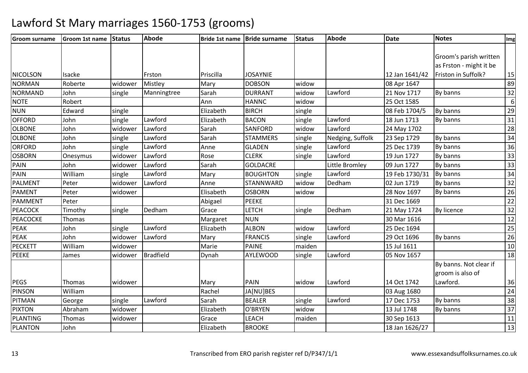| <b>Groom surname</b> | Groom 1st name Status |         | <b>Abode</b>     |           | Bride 1st name Bride surname | <b>Status</b> | Abode            | <b>Date</b>    | <b>Notes</b>            | Img              |
|----------------------|-----------------------|---------|------------------|-----------|------------------------------|---------------|------------------|----------------|-------------------------|------------------|
|                      |                       |         |                  |           |                              |               |                  |                |                         |                  |
|                      |                       |         |                  |           |                              |               |                  |                | Groom's parish written  |                  |
|                      |                       |         |                  |           |                              |               |                  |                | as Frston - might it be |                  |
| <b>NICOLSON</b>      | Isacke                |         | Frston           | Priscilla | <b>JOSAYNIE</b>              |               |                  | 12 Jan 1641/42 | Friston in Suffolk?     | 15               |
| <b>NORMAN</b>        | Roberte               | widower | Mistley          | Mary      | <b>DOBSON</b>                | widow         |                  | 08 Apr 1647    |                         | 89               |
| <b>NORMAND</b>       | John                  | single  | Manningtree      | Sarah     | <b>DURRANT</b>               | widow         | Lawford          | 21 Nov 1717    | By banns                | 32               |
| <b>NOTE</b>          | Robert                |         |                  | Ann       | <b>HANNC</b>                 | widow         |                  | 25 Oct 1585    |                         | $\boldsymbol{6}$ |
| <b>NUN</b>           | Edward                | single  |                  | Elizabeth | <b>BIRCH</b>                 | single        |                  | 08 Feb 1704/5  | By banns                | 29               |
| <b>OFFORD</b>        | John                  | single  | Lawford          | Elizabeth | <b>BACON</b>                 | single        | Lawford          | 18 Jun 1713    | By banns                | 31               |
| <b>OLBONE</b>        | John                  | widower | Lawford          | Sarah     | SANFORD                      | widow         | Lawford          | 24 May 1702    |                         | $\overline{28}$  |
| <b>OLBONE</b>        | John                  | single  | Lawford          | Sarah     | <b>STAMMERS</b>              | single        | Nedging, Suffolk | 23 Sep 1729    | By banns                | $\overline{34}$  |
| ORFORD               | John                  | single  | Lawford          | Anne      | <b>GLADEN</b>                | single        | Lawford          | 25 Dec 1739    | By banns                | 36               |
| <b>OSBORN</b>        | Onesymus              | widower | Lawford          | Rose      | <b>CLERK</b>                 | single        | Lawford          | 19 Jun 1727    | By banns                | $\overline{33}$  |
| PAIN                 | John                  | widower | Lawford          | Sarah     | <b>GOLDACRE</b>              |               | Little Bromley   | 09 Jun 1727    | By banns                | $\overline{33}$  |
| PAIN                 | William               | single  | Lawford          | Mary      | <b>BOUGHTON</b>              | single        | Lawford          | 19 Feb 1730/31 | By banns                | $\overline{34}$  |
| <b>PALMENT</b>       | Peter                 | widower | Lawford          | Anne      | STANNWARD                    | widow         | Dedham           | 02 Jun 1719    | By banns                | 32               |
| PAMENT               | Peter                 | widower |                  | Elisabeth | <b>OSBORN</b>                | widow         |                  | 28 Nov 1697    | By banns                | $\overline{26}$  |
| PAMMENT              | Peter                 |         |                  | Abigael   | <b>PEEKE</b>                 |               |                  | 31 Dec 1669    |                         | $\overline{22}$  |
| <b>PEACOCK</b>       | Timothy               | single  | Dedham           | Grace     | <b>LETCH</b>                 | single        | Dedham           | 21 May 1724    | <b>By licence</b>       | $\overline{32}$  |
| <b>PEACOCKE</b>      | Thomas                |         |                  | Margaret  | <b>NUN</b>                   |               |                  | 30 Mar 1616    |                         | 12               |
| <b>PEAK</b>          | John                  | single  | Lawford          | Elizabeth | <b>ALBON</b>                 | widow         | Lawford          | 25 Dec 1694    |                         | $\overline{25}$  |
| <b>PEAK</b>          | John                  | widower | Lawford          | Mary      | <b>FRANCIS</b>               | single        | Lawford          | 29 Oct 1696    | By banns                | $\overline{26}$  |
| <b>PECKETT</b>       | William               | widower |                  | Marie     | <b>PAINE</b>                 | maiden        |                  | 15 Jul 1611    |                         | $10$             |
| <b>PEEKE</b>         | James                 | widower | <b>Bradfield</b> | Dynah     | <b>AYLEWOOD</b>              | single        | Lawford          | 05 Nov 1657    |                         | 18               |
|                      |                       |         |                  |           |                              |               |                  |                | By banns. Not clear if  |                  |
|                      |                       |         |                  |           |                              |               |                  |                | groom is also of        |                  |
| <b>PEGS</b>          | Thomas                | widower |                  | Mary      | PAIN                         | widow         | Lawford          | 14 Oct 1742    | Lawford.                | 36               |
| <b>PINSON</b>        | William               |         |                  | Rachel    | JA[NU]BES                    |               |                  | 03 Aug 1680    |                         | 24               |
| <b>PITMAN</b>        | George                | single  | Lawford          | Sarah     | <b>BEALER</b>                | single        | Lawford          | 17 Dec 1753    | By banns                | $\overline{38}$  |
| <b>PIXTON</b>        | Abraham               | widower |                  | Elizabeth | O'BRYEN                      | widow         |                  | 13 Jul 1748    | By banns                | $\overline{37}$  |
| <b>PLANTING</b>      | Thomas                | widower |                  | Grace     | <b>LEACH</b>                 | maiden        |                  | 30 Sep 1613    |                         | 11               |
| <b>PLANTON</b>       | John                  |         |                  | Elizabeth | <b>BROOKE</b>                |               |                  | 18 Jan 1626/27 |                         | $\overline{13}$  |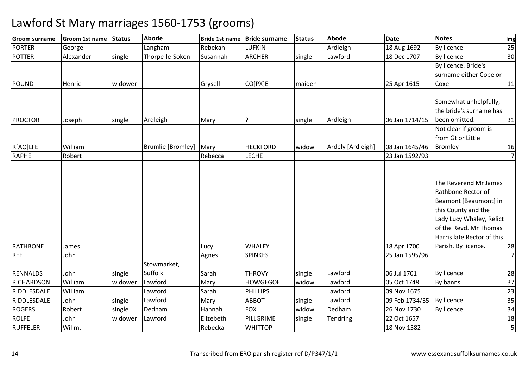| <b>Groom surname</b> | Groom 1st name | Status  | <b>Abode</b>           | <b>Bride 1st name</b> | <b>Bride surname</b> | <b>Status</b> | Abode             | <b>Date</b>    | <b>Notes</b>               | Img                     |
|----------------------|----------------|---------|------------------------|-----------------------|----------------------|---------------|-------------------|----------------|----------------------------|-------------------------|
| <b>PORTER</b>        | George         |         | Langham                | Rebekah               | <b>LUFKIN</b>        |               | Ardleigh          | 18 Aug 1692    | By licence                 | 25                      |
| <b>POTTER</b>        | Alexander      | single  | Thorpe-le-Soken        | Susannah              | <b>ARCHER</b>        | single        | Lawford           | 18 Dec 1707    | By licence                 | 30                      |
|                      |                |         |                        |                       |                      |               |                   |                | By licence. Bride's        |                         |
|                      |                |         |                        |                       |                      |               |                   |                | surname either Cope or     |                         |
| <b>POUND</b>         | Henrie         | widower |                        | Grysell               | CO[PX]E              | maiden        |                   | 25 Apr 1615    | Coxe                       | 11                      |
|                      |                |         |                        |                       |                      |               |                   |                |                            |                         |
|                      |                |         |                        |                       |                      |               |                   |                | Somewhat unhelpfully,      |                         |
|                      |                |         |                        |                       |                      |               |                   |                | the bride's surname has    |                         |
| <b>PROCTOR</b>       | Joseph         | single  | Ardleigh               | Mary                  |                      | single        | Ardleigh          | 06 Jan 1714/15 | been omitted.              | 31                      |
|                      |                |         |                        |                       |                      |               |                   |                | Not clear if groom is      |                         |
|                      |                |         |                        |                       |                      |               |                   |                | from Gt or Little          |                         |
| R[AO]LFE             | William        |         | Brumlie [Bromley] Mary |                       | <b>HECKFORD</b>      | widow         | Ardely [Ardleigh] | 08 Jan 1645/46 | Bromley                    | 16                      |
| <b>RAPHE</b>         | Robert         |         |                        | Rebecca               | <b>LECHE</b>         |               |                   | 23 Jan 1592/93 |                            | $\overline{7}$          |
|                      |                |         |                        |                       |                      |               |                   |                |                            |                         |
|                      |                |         |                        |                       |                      |               |                   |                | The Reverend Mr James      |                         |
|                      |                |         |                        |                       |                      |               |                   |                | Rathbone Rector of         |                         |
|                      |                |         |                        |                       |                      |               |                   |                | Beamont [Beaumont] in      |                         |
|                      |                |         |                        |                       |                      |               |                   |                | this County and the        |                         |
|                      |                |         |                        |                       |                      |               |                   |                | Lady Lucy Whaley, Relict   |                         |
|                      |                |         |                        |                       |                      |               |                   |                | of the Revd. Mr Thomas     |                         |
|                      |                |         |                        |                       |                      |               |                   |                | Harris late Rector of this |                         |
| <b>RATHBONE</b>      | James          |         |                        | Lucy                  | <b>WHALEY</b>        |               |                   | 18 Apr 1700    | Parish. By licence.        | 28                      |
| <b>REE</b>           | John           |         |                        | Agnes                 | <b>SPINKES</b>       |               |                   | 25 Jan 1595/96 |                            | $\overline{7}$          |
|                      |                |         | Stowmarket,            |                       |                      |               |                   |                |                            |                         |
| <b>RENNALDS</b>      | John           | single  | Suffolk                | Sarah                 | <b>THROVY</b>        | single        | Lawford           | 06 Jul 1701    | <b>By licence</b>          | 28                      |
| <b>RICHARDSON</b>    | William        | widower | Lawford                | Mary                  | <b>HOWGEGOE</b>      | widow         | Lawford           | 05 Oct 1748    | By banns                   | 37                      |
| RIDDLESDALE          | William        |         | Lawford                | Sarah                 | <b>PHILLIPS</b>      |               | Lawford           | 09 Nov 1675    |                            | 23                      |
| RIDDLESDALE          | John           | single  | Lawford                | Mary                  | <b>ABBOT</b>         | single        | Lawford           | 09 Feb 1734/35 | By licence                 | 35                      |
| <b>ROGERS</b>        | Robert         | single  | Dedham                 | Hannah                | <b>FOX</b>           | widow         | Dedham            | 26 Nov 1730    | By licence                 | 34                      |
| <b>ROLFE</b>         | John           | widower | Lawford                | Elizebeth             | PILLGRIME            | single        | <b>Tendring</b>   | 22 Oct 1657    |                            | 18                      |
| <b>RUFFELER</b>      | Willm.         |         |                        | Rebecka               | <b>WHITTOP</b>       |               |                   | 18 Nov 1582    |                            | $\overline{\mathbf{5}}$ |
|                      |                |         |                        |                       |                      |               |                   |                |                            |                         |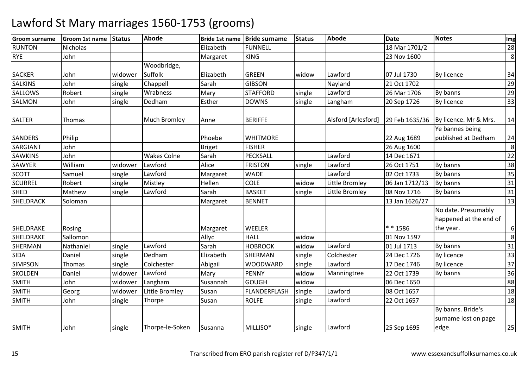| <b>Groom surname</b> | Groom 1st name  | <b>Status</b> | <b>Abode</b>        | <b>Bride 1st name</b> | <b>Bride surname</b> | <b>Status</b> | Abode               | <b>Date</b>    | <b>Notes</b>           | Img |
|----------------------|-----------------|---------------|---------------------|-----------------------|----------------------|---------------|---------------------|----------------|------------------------|-----|
| <b>RUNTON</b>        | <b>Nicholas</b> |               |                     | Elizabeth             | <b>FUNNELL</b>       |               |                     | 18 Mar 1701/2  |                        | 28  |
| <b>RYE</b>           | John            |               |                     | Margaret              | <b>KING</b>          |               |                     | 23 Nov 1600    |                        | 8   |
|                      |                 |               | Woodbridge,         |                       |                      |               |                     |                |                        |     |
| <b>SACKER</b>        | John            | widower       | Suffolk             | Elizabeth             | <b>GREEN</b>         | widow         | Lawford             | 07 Jul 1730    | <b>By licence</b>      | 34  |
| <b>SALKINS</b>       | John            | single        | Chappell            | Sarah                 | <b>GIBSON</b>        |               | Nayland             | 21 Oct 1702    |                        | 29  |
| <b>SALLOWS</b>       | Robert          | single        | Wrabness            | Mary                  | <b>STAFFORD</b>      | single        | Lawford             | 26 Mar 1706    | By banns               | 29  |
| <b>SALMON</b>        | John            | single        | Dedham              | Esther                | <b>DOWNS</b>         | single        | Langham             | 20 Sep 1726    | By licence             | 33  |
| <b>SALTER</b>        | Thomas          |               | <b>Much Bromley</b> | Anne                  | <b>BERIFFE</b>       |               | Alsford [Arlesford] | 29 Feb 1635/36 | By licence. Mr & Mrs.  | 14  |
|                      |                 |               |                     |                       |                      |               |                     |                | Ye bannes being        |     |
| <b>SANDERS</b>       | Philip          |               |                     | Phoebe                | <b>WHITMORE</b>      |               |                     | 22 Aug 1689    | published at Dedham    | 24  |
| SARGIANT             | John            |               |                     | <b>Briget</b>         | <b>FISHER</b>        |               |                     | 26 Aug 1600    |                        | 8   |
| <b>SAWKINS</b>       | John            |               | <b>Wakes Colne</b>  | Sarah                 | PECKSALL             |               | Lawford             | 14 Dec 1671    |                        | 22  |
| <b>SAWYER</b>        | William         | widower       | Lawford             | Alice                 | <b>FRISTON</b>       | single        | Lawford             | 26 Oct 1751    | By banns               | 38  |
| <b>SCOTT</b>         | Samuel          | single        | Lawford             | Margaret              | <b>WADE</b>          |               | Lawford             | 02 Oct 1733    | By banns               | 35  |
| <b>SCURREL</b>       | Robert          | single        | Mistley             | Hellen                | <b>COLE</b>          | widow         | Little Bromley      | 06 Jan 1712/13 | By banns               | 31  |
| <b>SHED</b>          | Mathew          | single        | Lawford             | Sarah                 | <b>BASKET</b>        | single        | Little Bromley      | 08 Nov 1716    | By banns               | 31  |
| <b>SHELDRACK</b>     | Soloman         |               |                     | Margaret              | <b>BENNET</b>        |               |                     | 13 Jan 1626/27 |                        | 13  |
|                      |                 |               |                     |                       |                      |               |                     |                | No date. Presumably    |     |
|                      |                 |               |                     |                       |                      |               |                     |                | happened at the end of |     |
| SHELDRAKE            | Rosing          |               |                     | Margaret              | <b>WEELER</b>        |               |                     | * * 1586       | the year.              | 6   |
| SHELDRAKE            | Sallomon        |               |                     | Allyc                 | <b>HALL</b>          | widow         |                     | 01 Nov 1597    |                        | 8   |
| SHERMAN              | Nathaniel       | single        | Lawford             | Sarah                 | <b>HOBROOK</b>       | widow         | Lawford             | 01 Jul 1713    | By banns               | 31  |
| <b>SIDA</b>          | Daniel          | single        | Dedham              | Elizabeth             | <b>SHERMAN</b>       | single        | Colchester          | 24 Dec 1726    | By licence             | 33  |
| <b>SIMPSON</b>       | Thomas          | single        | Colchester          | Abigail               | WOODWARD             | single        | Lawford             | 17 Dec 1746    | <b>By licence</b>      | 37  |
| <b>SKOLDEN</b>       | Daniel          | widower       | Lawford             | Mary                  | <b>PENNY</b>         | widow         | Manningtree         | 22 Oct 1739    | By banns               | 36  |
| <b>SMITH</b>         | John            | widower       | Langham             | Susannah              | <b>GOUGH</b>         | widow         |                     | 06 Dec 1650    |                        | 88  |
| <b>SMITH</b>         | Georg           | widower       | Little Bromley      | Susan                 | <b>FLANDERFLASH</b>  | single        | Lawford             | 08 Oct 1657    |                        | 18  |
| <b>SMITH</b>         | John            | single        | Thorpe              | Susan                 | <b>ROLFE</b>         | single        | Lawford             | 22 Oct 1657    |                        | 18  |
|                      |                 |               |                     |                       |                      |               |                     |                | By banns. Bride's      |     |
|                      |                 |               |                     |                       |                      |               |                     |                | surname lost on page   |     |
| <b>SMITH</b>         | John            | single        | Thorpe-le-Soken     | Susanna               | MILLISO*             | single        | Lawford             | 25 Sep 1695    | edge.                  | 25  |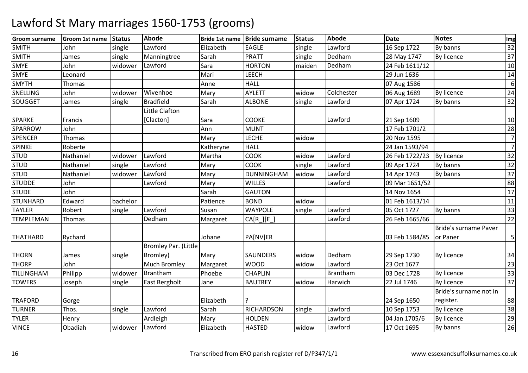| <b>Groom surname</b> | Groom 1st name | <b>Status</b> | <b>Abode</b>                | <b>Bride 1st name</b> | <b>Bride surname</b> | <b>Status</b> | Abode      | <b>Date</b>    | <b>Notes</b>           | Img             |
|----------------------|----------------|---------------|-----------------------------|-----------------------|----------------------|---------------|------------|----------------|------------------------|-----------------|
| <b>SMITH</b>         | John           | single        | Lawford                     | Elizabeth             | <b>EAGLE</b>         | single        | Lawford    | 16 Sep 1722    | By banns               | 32              |
| <b>SMITH</b>         | James          | single        | Manningtree                 | Sarah                 | <b>PRATT</b>         | single        | Dedham     | 28 May 1747    | By licence             | 37              |
| <b>SMYE</b>          | John           | widower       | Lawford                     | Sara                  | <b>HORTON</b>        | maiden        | Dedham     | 24 Feb 1611/12 |                        | 10              |
| <b>SMYE</b>          | Leonard        |               |                             | Mari                  | <b>LEECH</b>         |               |            | 29 Jun 1636    |                        | 14              |
| <b>SMYTH</b>         | Thomas         |               |                             | Anne                  | <b>HALL</b>          |               |            | 07 Aug 1586    |                        | 6               |
| SNELLING             | John           | widower       | Wivenhoe                    | Mary                  | <b>AYLETT</b>        | widow         | Colchester | 06 Aug 1689    | <b>By licence</b>      | 24              |
| SOUGGET              | James          | single        | <b>Bradfield</b>            | Sarah                 | <b>ALBONE</b>        | single        | Lawford    | 07 Apr 1724    | By banns               | 32              |
|                      |                |               | Little Clafton              |                       |                      |               |            |                |                        |                 |
| <b>SPARKE</b>        | Francis        |               | [Clacton]                   | Sara                  | <b>COOKE</b>         |               | Lawford    | 21 Sep 1609    |                        | 10              |
| SPARROW              | John           |               |                             | Ann                   | <b>MUNT</b>          |               |            | 17 Feb 1701/2  |                        | 28              |
| <b>SPENCER</b>       | Thomas         |               |                             | Mary                  | <b>LECHE</b>         | widow         |            | 20 Nov 1595    |                        | $\overline{7}$  |
| <b>SPINKE</b>        | Roberte        |               |                             | Katheryne             | <b>HALL</b>          |               |            | 24 Jan 1593/94 |                        | $\overline{7}$  |
| <b>STUD</b>          | Nathaniel      | widower       | Lawford                     | Martha                | <b>COOK</b>          | widow         | Lawford    | 26 Feb 1722/23 | By licence             | 32              |
| <b>STUD</b>          | Nathaniel      | single        | Lawford                     | Mary                  | <b>COOK</b>          | single        | Lawford    | 09 Apr 1724    | By banns               | 32              |
| <b>STUD</b>          | Nathaniel      | widower       | Lawford                     | Mary                  | <b>DUNNINGHAM</b>    | widow         | Lawford    | 14 Apr 1743    | By banns               | 37              |
| <b>STUDDE</b>        | John           |               | Lawford                     | Mary                  | <b>WILLES</b>        |               | Lawford    | 09 Mar 1651/52 |                        | 88              |
| <b>STUDE</b>         | John           |               |                             | Sarah                 | <b>GAUTON</b>        |               |            | 14 Nov 1654    |                        | $\overline{17}$ |
| <b>STUNHARD</b>      | Edward         | bachelor      |                             | Patience              | <b>BOND</b>          | widow         |            | 01 Feb 1613/14 |                        | 11              |
| <b>TAYLER</b>        | Robert         | single        | Lawford                     | Susan                 | <b>WAYPOLE</b>       | single        | Lawford    | 05 Oct 1727    | By banns               | 33              |
| <b>TEMPLEMAN</b>     | Thomas         |               | Dedham                      | Margaret              | $CA[R_][E_$          |               | Lawford    | 26 Feb 1665/66 |                        | $\overline{22}$ |
|                      |                |               |                             |                       |                      |               |            |                | Bride's surname Paver  |                 |
| <b>THATHARD</b>      | Rychard        |               |                             | Johane                | PA[NV]ER             |               |            | 03 Feb 1584/85 | or Paner               | 5               |
|                      |                |               | <b>Bromley Par. (Little</b> |                       |                      |               |            |                |                        |                 |
| <b>THORN</b>         | James          | single        | Bromley)                    | Mary                  | <b>SAUNDERS</b>      | widow         | Dedham     | 29 Sep 1730    | By licence             | 34              |
| <b>THORP</b>         | John           |               | <b>Much Bromley</b>         | Margaret              | <b>WOOD</b>          | widow         | Lawford    | 23 Oct 1677    |                        | $\overline{23}$ |
| TILLINGHAM           | Philipp        | widower       | <b>Brantham</b>             | Phoebe                | <b>CHAPLIN</b>       |               | Brantham   | 03 Dec 1728    | <b>By licence</b>      | $\overline{33}$ |
| <b>TOWERS</b>        | Joseph         | single        | East Bergholt               | Jane                  | <b>BAUTREY</b>       | widow         | Harwich    | 22 Jul 1746    | By licence             | $\overline{37}$ |
|                      |                |               |                             |                       |                      |               |            |                | Bride's surname not in |                 |
| <b>TRAFORD</b>       | Gorge          |               |                             | Elizabeth             |                      |               |            | 24 Sep 1650    | register.              | 88              |
| <b>TURNER</b>        | Thos.          | single        | Lawford                     | Sarah                 | RICHARDSON           | single        | Lawford    | 10 Sep 1753    | By licence             | $\overline{38}$ |
| <b>TYLER</b>         | Henry          |               | Ardleigh                    | Mary                  | <b>HOLDEN</b>        |               | Lawford    | 04 Jan 1705/6  | By licence             | 29              |
| <b>VINCE</b>         | Obadiah        | widower       | Lawford                     | Elizabeth             | <b>HASTED</b>        | widow         | Lawford    | 17 Oct 1695    | By banns               | 26              |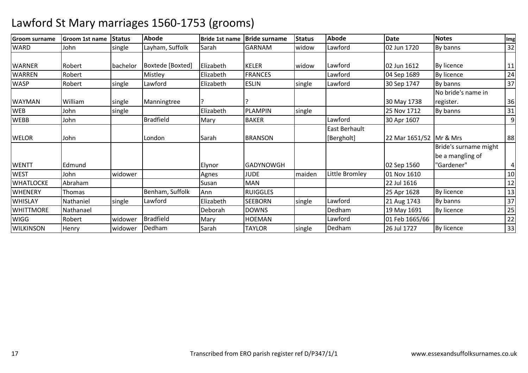| <b>IGroom surname</b> | <b>Groom 1st name</b> | <b>Status</b> | <b>Abode</b>     | Bride 1st name | <b>Bride surname</b> | <b>Status</b> | Abode          | <b>Date</b>             | <b>Notes</b>          | Img |
|-----------------------|-----------------------|---------------|------------------|----------------|----------------------|---------------|----------------|-------------------------|-----------------------|-----|
| <b>WARD</b>           | John                  | single        | Layham, Suffolk  | Sarah          | <b>GARNAM</b>        | widow         | Lawford        | 02 Jun 1720             | By banns              | 32  |
|                       |                       |               |                  |                |                      |               |                |                         |                       |     |
| <b>WARNER</b>         | Robert                | bachelor      | Boxtede [Boxted] | Elizabeth      | <b>KELER</b>         | widow         | Lawford        | 02 Jun 1612             | <b>By licence</b>     | 11  |
| <b>WARREN</b>         | Robert                |               | Mistley          | Elizabeth      | <b>FRANCES</b>       |               | Lawford        | 04 Sep 1689             | By licence            | 24  |
| <b>WASP</b>           | Robert                | single        | Lawford          | Elizabeth      | <b>ESLIN</b>         | single        | Lawford        | 30 Sep 1747             | By banns              | 37  |
|                       |                       |               |                  |                |                      |               |                |                         | No bride's name in    |     |
| <b>WAYMAN</b>         | William               | single        | Manningtree      |                |                      |               |                | 30 May 1738             | register.             | 36  |
| <b>WEB</b>            | John                  | single        |                  | Elizabeth      | <b>PLAMPIN</b>       | single        |                | 25 Nov 1712             | By banns              | 31  |
| <b>WEBB</b>           | John                  |               | <b>Bradfield</b> | Mary           | <b>BAKER</b>         |               | Lawford        | 30 Apr 1607             |                       | 9   |
|                       |                       |               |                  |                |                      |               | East Berhault  |                         |                       |     |
| <b>WELOR</b>          | John                  |               | London           | Sarah          | <b>BRANSON</b>       |               | [Bergholt]     | 22 Mar 1651/52 Mr & Mrs |                       | 88  |
|                       |                       |               |                  |                |                      |               |                |                         | Bride's surname might |     |
|                       |                       |               |                  |                |                      |               |                |                         | be a mangling of      |     |
| <b>WENTT</b>          | Edmund                |               |                  | Elynor         | <b>GADYNOWGH</b>     |               |                | 02 Sep 1560             | "Gardener"            | 4   |
| <b>WEST</b>           | John                  | widower       |                  | Agnes          | <b>JUDE</b>          | maiden        | Little Bromley | 01 Nov 1610             |                       | 10  |
| <b>WHATLOCKE</b>      | Abraham               |               |                  | Susan          | <b>MAN</b>           |               |                | 22 Jul 1616             |                       | 12  |
| <b>WHENERY</b>        | Thomas                |               | Benham, Suffolk  | Ann            | <b>RUIGGLES</b>      |               |                | 25 Apr 1628             | By licence            | 13  |
| <b>WHISLAY</b>        | Nathaniel             | single        | Lawford          | Elizabeth      | <b>SEEBORN</b>       | single        | Lawford        | 21 Aug 1743             | By banns              | 37  |
| <b>WHITTMORE</b>      | Nathanael             |               |                  | Deborah        | <b>DOWNS</b>         |               | Dedham         | 19 May 1691             | By licence            | 25  |
| <b>WIGG</b>           | Robert                | widower       | <b>Bradfield</b> | Mary           | <b>HOEMAN</b>        |               | Lawford        | 01 Feb 1665/66          |                       | 22  |
| <b>WILKINSON</b>      | Henry                 | widower       | Dedham           | Sarah          | TAYLOR               | single        | Dedham         | 26 Jul 1727             | <b>By licence</b>     | 33  |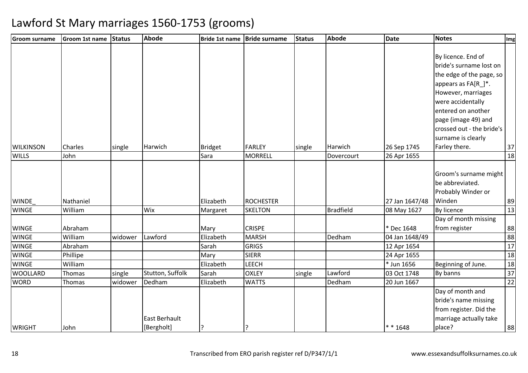| <b>Groom surname</b> | <b>Groom 1st name</b> | Status  | <b>Abode</b>     |                | Bride 1st name Bride surname | <b>Status</b> | <b>Abode</b>     | <b>Date</b>    | <b>Notes</b>              | Img             |
|----------------------|-----------------------|---------|------------------|----------------|------------------------------|---------------|------------------|----------------|---------------------------|-----------------|
|                      |                       |         |                  |                |                              |               |                  |                |                           |                 |
|                      |                       |         |                  |                |                              |               |                  |                | By licence. End of        |                 |
|                      |                       |         |                  |                |                              |               |                  |                | bride's surname lost on   |                 |
|                      |                       |         |                  |                |                              |               |                  |                | the edge of the page, so  |                 |
|                      |                       |         |                  |                |                              |               |                  |                | appears as FA[R_]*.       |                 |
|                      |                       |         |                  |                |                              |               |                  |                | However, marriages        |                 |
|                      |                       |         |                  |                |                              |               |                  |                | were accidentally         |                 |
|                      |                       |         |                  |                |                              |               |                  |                | entered on another        |                 |
|                      |                       |         |                  |                |                              |               |                  |                | page (image 49) and       |                 |
|                      |                       |         |                  |                |                              |               |                  |                | crossed out - the bride's |                 |
|                      |                       |         |                  |                |                              |               |                  |                | surname is clearly        |                 |
| <b>WILKINSON</b>     | Charles               | single  | Harwich          | <b>Bridget</b> | <b>FARLEY</b>                | single        | Harwich          | 26 Sep 1745    | Farley there.             | 37              |
| <b>WILLS</b>         | John                  |         |                  | Sara           | <b>MORRELL</b>               |               | Dovercourt       | 26 Apr 1655    |                           | 18              |
|                      |                       |         |                  |                |                              |               |                  |                |                           |                 |
|                      |                       |         |                  |                |                              |               |                  |                | Groom's surname might     |                 |
|                      |                       |         |                  |                |                              |               |                  |                | be abbreviated.           |                 |
|                      |                       |         |                  |                |                              |               |                  |                | Probably Winder or        |                 |
| <b>WINDE</b>         | Nathaniel             |         |                  | Elizabeth      | <b>ROCHESTER</b>             |               |                  | 27 Jan 1647/48 | Winden                    | 89              |
| <b>WINGE</b>         | William               |         | Wix              | Margaret       | <b>SKELTON</b>               |               | <b>Bradfield</b> | 08 May 1627    | By licence                | $\overline{13}$ |
|                      |                       |         |                  |                |                              |               |                  |                | Day of month missing      |                 |
| <b>WINGE</b>         | Abraham               |         |                  | Mary           | <b>CRISPE</b>                |               |                  | * Dec 1648     | from register             | 88              |
| <b>WINGE</b>         | William               | widower | Lawford          | Elizabeth      | <b>MARSH</b>                 |               | Dedham           | 04 Jan 1648/49 |                           | 88              |
| <b>WINGE</b>         | Abraham               |         |                  | Sarah          | <b>GRIGS</b>                 |               |                  | 12 Apr 1654    |                           | $\overline{17}$ |
| <b>WINGE</b>         | Phillipe              |         |                  | Mary           | <b>SIERR</b>                 |               |                  | 24 Apr 1655    |                           | $\overline{18}$ |
| <b>WINGE</b>         | William               |         |                  | Elizabeth      | <b>LEECH</b>                 |               |                  | * Jun 1656     | Beginning of June.        | 18              |
| <b>WOOLLARD</b>      | Thomas                | single  | Stutton, Suffolk | Sarah          | <b>OXLEY</b>                 | single        | Lawford          | 03 Oct 1748    | By banns                  | 37              |
| <b>WORD</b>          | Thomas                | widower | Dedham           | Elizabeth      | <b>WATTS</b>                 |               | Dedham           | 20 Jun 1667    |                           | $\overline{22}$ |
|                      |                       |         |                  |                |                              |               |                  |                | Day of month and          |                 |
|                      |                       |         |                  |                |                              |               |                  |                | bride's name missing      |                 |
|                      |                       |         |                  |                |                              |               |                  |                | from register. Did the    |                 |
|                      |                       |         | East Berhault    |                |                              |               |                  |                | marriage actually take    |                 |
| <b>WRIGHT</b>        | John                  |         | [Bergholt]       | P:             |                              |               |                  | $* * 1648$     | place?                    | 88              |